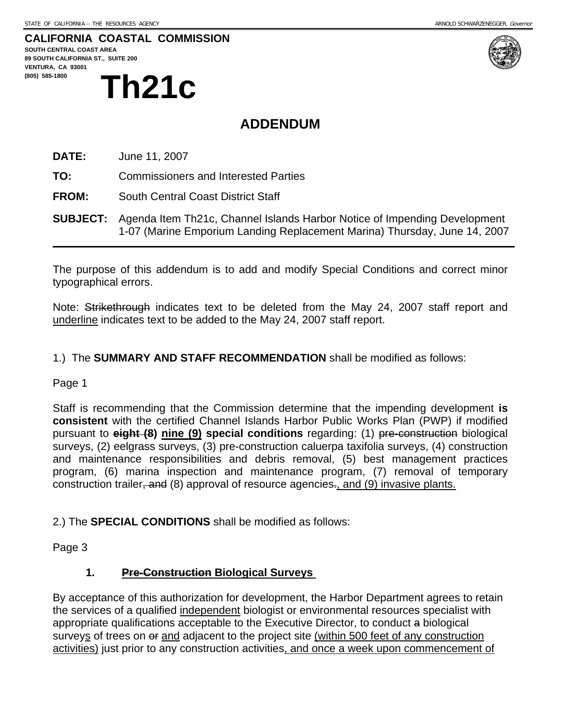#### **CALIFORNIA COASTAL COMMISSION**

**SOUTH CENTRAL COAST AREA 89 SOUTH CALIFORNIA ST., SUITE 200 VENTURA, CA 93001**  (805) 585-1800<br> **Th21c** 



## **ADDENDUM**

**DATE:** June 11, 2007

**TO:** Commissioners and Interested Parties

**FROM:** South Central Coast District Staff

**SUBJECT:** Agenda Item Th21c, Channel Islands Harbor Notice of Impending Development 1-07 (Marine Emporium Landing Replacement Marina) Thursday, June 14, 2007

The purpose of this addendum is to add and modify Special Conditions and correct minor typographical errors.

Note: Strikethrough indicates text to be deleted from the May 24, 2007 staff report and underline indicates text to be added to the May 24, 2007 staff report.

#### 1.) The **SUMMARY AND STAFF RECOMMENDATION** shall be modified as follows:

#### Page 1

Staff is recommending that the Commission determine that the impending development **is consistent** with the certified Channel Islands Harbor Public Works Plan (PWP) if modified pursuant to **eight (8) nine (9) special conditions** regarding: (1) pre-construction biological surveys, (2) eelgrass surveys, (3) pre-construction caluerpa taxifolia surveys, (4) construction and maintenance responsibilities and debris removal, (5) best management practices program, (6) marina inspection and maintenance program, (7) removal of temporary construction trailer, and (8) approval of resource agencies., and (9) invasive plants.

2.) The **SPECIAL CONDITIONS** shall be modified as follows:

Page 3

#### **1. Pre-Construction Biological Surveys**

By acceptance of this authorization for development, the Harbor Department agrees to retain the services of a qualified independent biologist or environmental resources specialist with appropriate qualifications acceptable to the Executive Director, to conduct a biological surveys of trees on  $e$  and adjacent to the project site (within 500 feet of any construction activities) just prior to any construction activities, and once a week upon commencement of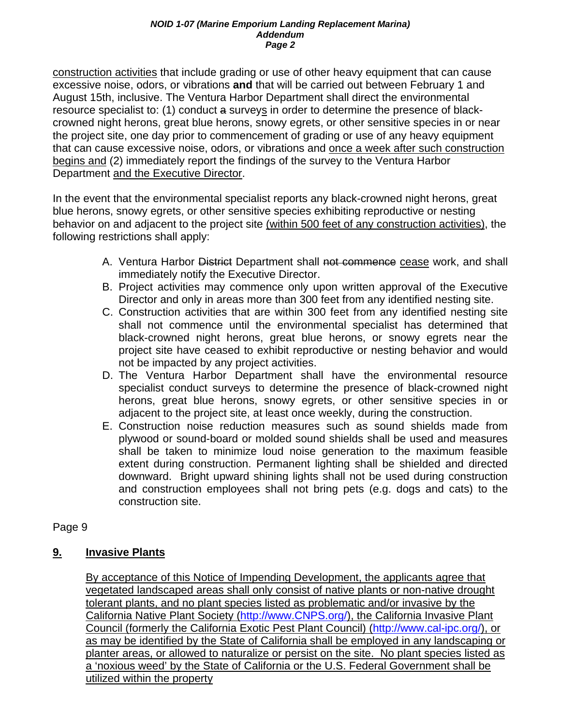#### *NOID 1-07 (Marine Emporium Landing Replacement Marina) Addendum Page 2*

construction activities that include grading or use of other heavy equipment that can cause excessive noise, odors, or vibrations **and** that will be carried out between February 1 and August 15th, inclusive. The Ventura Harbor Department shall direct the environmental resource specialist to: (1) conduct a surveys in order to determine the presence of blackcrowned night herons, great blue herons, snowy egrets, or other sensitive species in or near the project site, one day prior to commencement of grading or use of any heavy equipment that can cause excessive noise, odors, or vibrations and once a week after such construction begins and (2) immediately report the findings of the survey to the Ventura Harbor Department and the Executive Director.

In the event that the environmental specialist reports any black-crowned night herons, great blue herons, snowy egrets, or other sensitive species exhibiting reproductive or nesting behavior on and adjacent to the project site (within 500 feet of any construction activities), the following restrictions shall apply:

- A. Ventura Harbor District Department shall not commence cease work, and shall immediately notify the Executive Director.
- B. Project activities may commence only upon written approval of the Executive Director and only in areas more than 300 feet from any identified nesting site.
- C. Construction activities that are within 300 feet from any identified nesting site shall not commence until the environmental specialist has determined that black-crowned night herons, great blue herons, or snowy egrets near the project site have ceased to exhibit reproductive or nesting behavior and would not be impacted by any project activities.
- D. The Ventura Harbor Department shall have the environmental resource specialist conduct surveys to determine the presence of black-crowned night herons, great blue herons, snowy egrets, or other sensitive species in or adjacent to the project site, at least once weekly, during the construction.
- E. Construction noise reduction measures such as sound shields made from plywood or sound-board or molded sound shields shall be used and measures shall be taken to minimize loud noise generation to the maximum feasible extent during construction. Permanent lighting shall be shielded and directed downward. Bright upward shining lights shall not be used during construction and construction employees shall not bring pets (e.g. dogs and cats) to the construction site.

## Page 9

## **9. Invasive Plants**

By acceptance of this Notice of Impending Development, the applicants agree that vegetated landscaped areas shall only consist of native plants or non-native drought tolerant plants, and no plant species listed as problematic and/or invasive by the California Native Plant Society (http://www.CNPS.org/), the California Invasive Plant Council (formerly the California Exotic Pest Plant Council) (http://www.cal-ipc.org/), or as may be identified by the State of California shall be employed in any landscaping or planter areas, or allowed to naturalize or persist on the site. No plant species listed as a 'noxious weed' by the State of California or the U.S. Federal Government shall be utilized within the property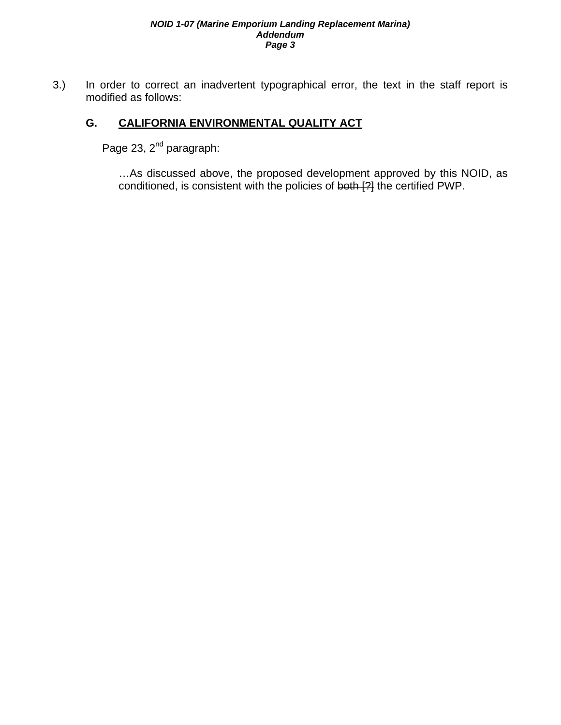#### *NOID 1-07 (Marine Emporium Landing Replacement Marina) Addendum Page 3*

3.) In order to correct an inadvertent typographical error, the text in the staff report is modified as follows:

## **G. CALIFORNIA ENVIRONMENTAL QUALITY ACT**

Page 23, 2<sup>nd</sup> paragraph:

…As discussed above, the proposed development approved by this NOID, as conditioned, is consistent with the policies of both [?] the certified PWP.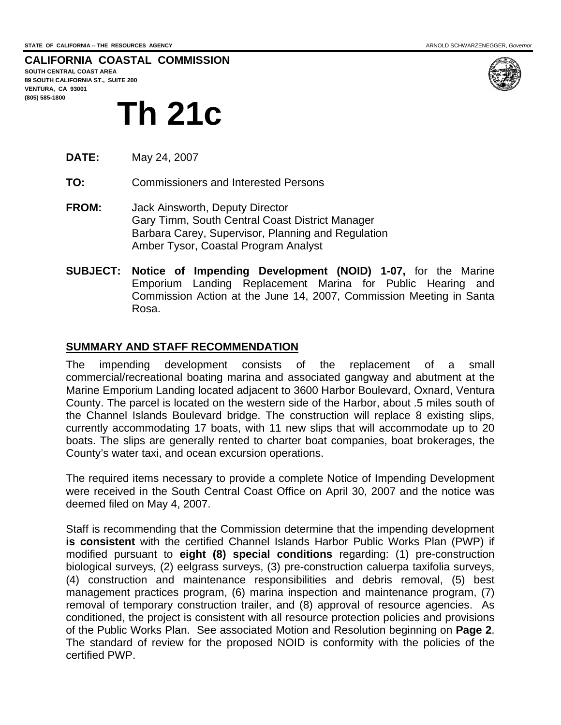**CALIFORNIA COASTAL COMMISSION SOUTH CENTRAL COAST AREA**

**89 SOUTH CALIFORNIA ST., SUITE 200 VENTURA, CA 93001 (805) 585-1800** 



# **Th 21c**

**DATE:** May 24, 2007

**TO:** Commissioners and Interested Persons

- **FROM:** Jack Ainsworth, Deputy Director Gary Timm, South Central Coast District Manager Barbara Carey, Supervisor, Planning and Regulation Amber Tysor, Coastal Program Analyst
- **SUBJECT: Notice of Impending Development (NOID) 1-07,** for the Marine Emporium Landing Replacement Marina for Public Hearing and Commission Action at the June 14, 2007, Commission Meeting in Santa Rosa.

#### **SUMMARY AND STAFF RECOMMENDATION**

The impending development consists of the replacement of a small commercial/recreational boating marina and associated gangway and abutment at the Marine Emporium Landing located adjacent to 3600 Harbor Boulevard, Oxnard, Ventura County. The parcel is located on the western side of the Harbor, about .5 miles south of the Channel Islands Boulevard bridge. The construction will replace 8 existing slips, currently accommodating 17 boats, with 11 new slips that will accommodate up to 20 boats. The slips are generally rented to charter boat companies, boat brokerages, the County's water taxi, and ocean excursion operations.

The required items necessary to provide a complete Notice of Impending Development were received in the South Central Coast Office on April 30, 2007 and the notice was deemed filed on May 4, 2007.

Staff is recommending that the Commission determine that the impending development **is consistent** with the certified Channel Islands Harbor Public Works Plan (PWP) if modified pursuant to **eight (8) special conditions** regarding: (1) pre-construction biological surveys, (2) eelgrass surveys, (3) pre-construction caluerpa taxifolia surveys, (4) construction and maintenance responsibilities and debris removal, (5) best management practices program, (6) marina inspection and maintenance program, (7) removal of temporary construction trailer, and (8) approval of resource agencies. As conditioned, the project is consistent with all resource protection policies and provisions of the Public Works Plan. See associated Motion and Resolution beginning on **Page 2**. The standard of review for the proposed NOID is conformity with the policies of the certified PWP.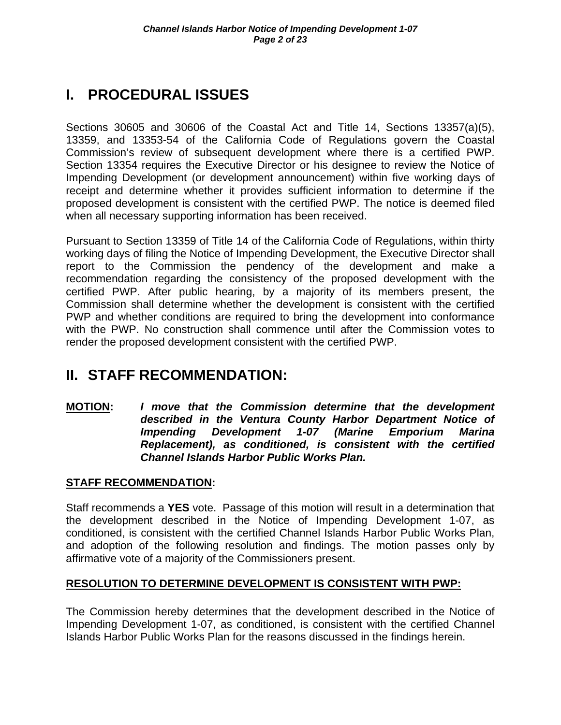# **I. PROCEDURAL ISSUES**

Sections 30605 and 30606 of the Coastal Act and Title 14, Sections 13357(a)(5), 13359, and 13353-54 of the California Code of Regulations govern the Coastal Commission's review of subsequent development where there is a certified PWP. Section 13354 requires the Executive Director or his designee to review the Notice of Impending Development (or development announcement) within five working days of receipt and determine whether it provides sufficient information to determine if the proposed development is consistent with the certified PWP. The notice is deemed filed when all necessary supporting information has been received.

Pursuant to Section 13359 of Title 14 of the California Code of Regulations, within thirty working days of filing the Notice of Impending Development, the Executive Director shall report to the Commission the pendency of the development and make a recommendation regarding the consistency of the proposed development with the certified PWP. After public hearing, by a majority of its members present, the Commission shall determine whether the development is consistent with the certified PWP and whether conditions are required to bring the development into conformance with the PWP. No construction shall commence until after the Commission votes to render the proposed development consistent with the certified PWP.

# **II. STAFF RECOMMENDATION:**

**MOTION:** *I move that the Commission determine that the development described in the Ventura County Harbor Department Notice of Impending Development 1-07 (Marine Emporium Marina Replacement), as conditioned, is consistent with the certified Channel Islands Harbor Public Works Plan.* 

## **STAFF RECOMMENDATION:**

Staff recommends a **YES** vote. Passage of this motion will result in a determination that the development described in the Notice of Impending Development 1-07, as conditioned, is consistent with the certified Channel Islands Harbor Public Works Plan, and adoption of the following resolution and findings. The motion passes only by affirmative vote of a majority of the Commissioners present.

## **RESOLUTION TO DETERMINE DEVELOPMENT IS CONSISTENT WITH PWP:**

The Commission hereby determines that the development described in the Notice of Impending Development 1-07, as conditioned, is consistent with the certified Channel Islands Harbor Public Works Plan for the reasons discussed in the findings herein.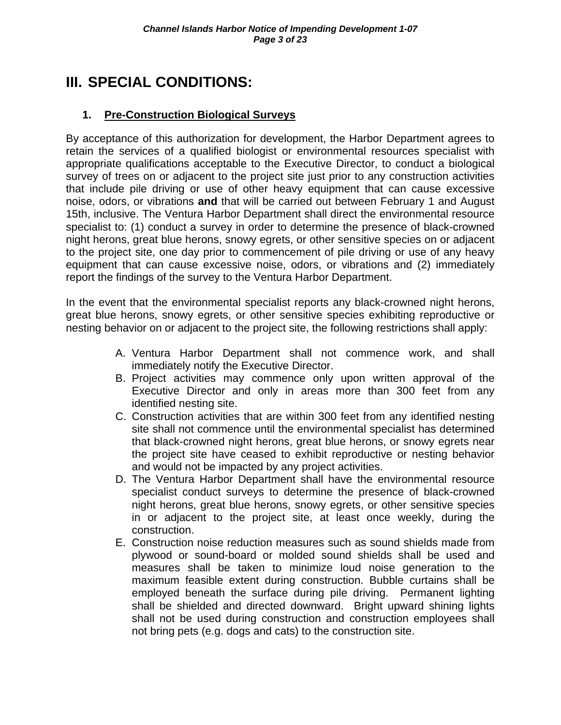# **III. SPECIAL CONDITIONS:**

## **1. Pre-Construction Biological Surveys**

By acceptance of this authorization for development, the Harbor Department agrees to retain the services of a qualified biologist or environmental resources specialist with appropriate qualifications acceptable to the Executive Director, to conduct a biological survey of trees on or adjacent to the project site just prior to any construction activities that include pile driving or use of other heavy equipment that can cause excessive noise, odors, or vibrations **and** that will be carried out between February 1 and August 15th, inclusive. The Ventura Harbor Department shall direct the environmental resource specialist to: (1) conduct a survey in order to determine the presence of black-crowned night herons, great blue herons, snowy egrets, or other sensitive species on or adjacent to the project site, one day prior to commencement of pile driving or use of any heavy equipment that can cause excessive noise, odors, or vibrations and (2) immediately report the findings of the survey to the Ventura Harbor Department.

In the event that the environmental specialist reports any black-crowned night herons, great blue herons, snowy egrets, or other sensitive species exhibiting reproductive or nesting behavior on or adjacent to the project site, the following restrictions shall apply:

- A. Ventura Harbor Department shall not commence work, and shall immediately notify the Executive Director.
- B. Project activities may commence only upon written approval of the Executive Director and only in areas more than 300 feet from any identified nesting site.
- C. Construction activities that are within 300 feet from any identified nesting site shall not commence until the environmental specialist has determined that black-crowned night herons, great blue herons, or snowy egrets near the project site have ceased to exhibit reproductive or nesting behavior and would not be impacted by any project activities.
- D. The Ventura Harbor Department shall have the environmental resource specialist conduct surveys to determine the presence of black-crowned night herons, great blue herons, snowy egrets, or other sensitive species in or adjacent to the project site, at least once weekly, during the construction.
- E. Construction noise reduction measures such as sound shields made from plywood or sound-board or molded sound shields shall be used and measures shall be taken to minimize loud noise generation to the maximum feasible extent during construction. Bubble curtains shall be employed beneath the surface during pile driving. Permanent lighting shall be shielded and directed downward. Bright upward shining lights shall not be used during construction and construction employees shall not bring pets (e.g. dogs and cats) to the construction site.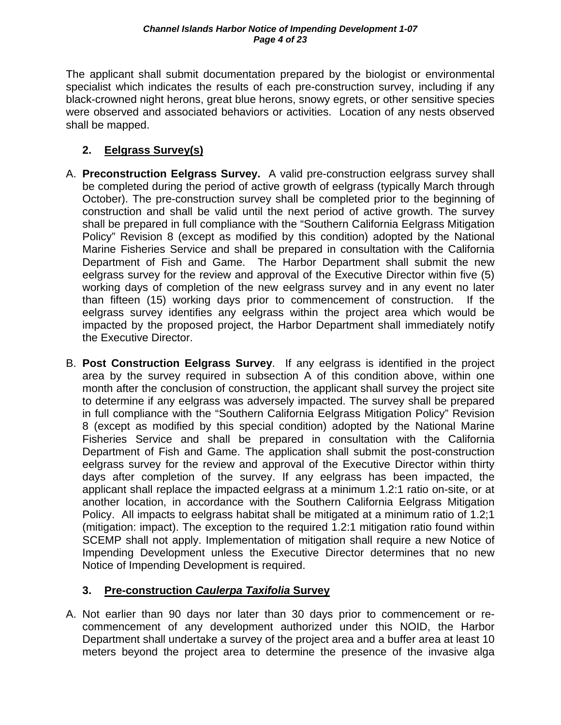The applicant shall submit documentation prepared by the biologist or environmental specialist which indicates the results of each pre-construction survey, including if any black-crowned night herons, great blue herons, snowy egrets, or other sensitive species were observed and associated behaviors or activities. Location of any nests observed shall be mapped.

## **2. Eelgrass Survey(s)**

- A. **Preconstruction Eelgrass Survey.** A valid pre-construction eelgrass survey shall be completed during the period of active growth of eelgrass (typically March through October). The pre-construction survey shall be completed prior to the beginning of construction and shall be valid until the next period of active growth. The survey shall be prepared in full compliance with the "Southern California Eelgrass Mitigation Policy" Revision 8 (except as modified by this condition) adopted by the National Marine Fisheries Service and shall be prepared in consultation with the California Department of Fish and Game. The Harbor Department shall submit the new eelgrass survey for the review and approval of the Executive Director within five (5) working days of completion of the new eelgrass survey and in any event no later than fifteen (15) working days prior to commencement of construction. If the eelgrass survey identifies any eelgrass within the project area which would be impacted by the proposed project, the Harbor Department shall immediately notify the Executive Director.
- B. **Post Construction Eelgrass Survey**.If any eelgrass is identified in the project area by the survey required in subsection A of this condition above, within one month after the conclusion of construction, the applicant shall survey the project site to determine if any eelgrass was adversely impacted. The survey shall be prepared in full compliance with the "Southern California Eelgrass Mitigation Policy" Revision 8 (except as modified by this special condition) adopted by the National Marine Fisheries Service and shall be prepared in consultation with the California Department of Fish and Game. The application shall submit the post-construction eelgrass survey for the review and approval of the Executive Director within thirty days after completion of the survey. If any eelgrass has been impacted, the applicant shall replace the impacted eelgrass at a minimum 1.2:1 ratio on-site, or at another location, in accordance with the Southern California Eelgrass Mitigation Policy. All impacts to eelgrass habitat shall be mitigated at a minimum ratio of 1.2;1 (mitigation: impact). The exception to the required 1.2:1 mitigation ratio found within SCEMP shall not apply. Implementation of mitigation shall require a new Notice of Impending Development unless the Executive Director determines that no new Notice of Impending Development is required.

## **3. Pre-construction** *Caulerpa Taxifolia* **Survey**

A. Not earlier than 90 days nor later than 30 days prior to commencement or recommencement of any development authorized under this NOID, the Harbor Department shall undertake a survey of the project area and a buffer area at least 10 meters beyond the project area to determine the presence of the invasive alga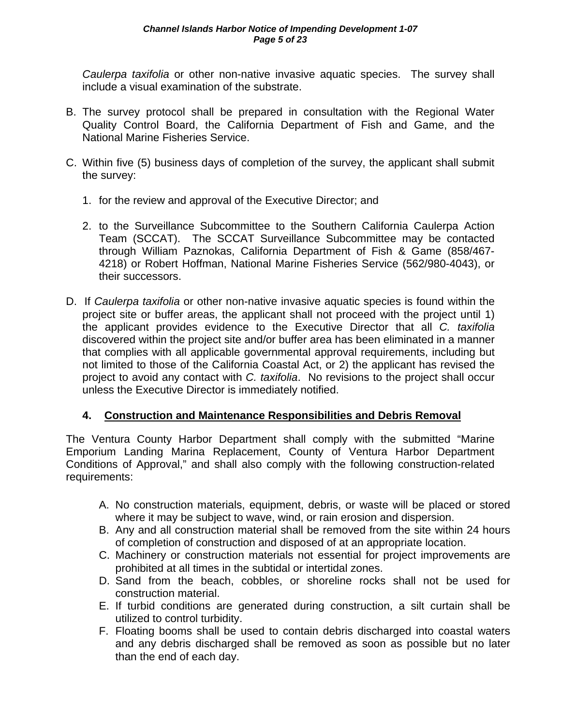*Caulerpa taxifolia* or other non-native invasive aquatic species. The survey shall include a visual examination of the substrate.

- B. The survey protocol shall be prepared in consultation with the Regional Water Quality Control Board, the California Department of Fish and Game, and the National Marine Fisheries Service.
- C. Within five (5) business days of completion of the survey, the applicant shall submit the survey:
	- 1. for the review and approval of the Executive Director; and
	- 2. to the Surveillance Subcommittee to the Southern California Caulerpa Action Team (SCCAT). The SCCAT Surveillance Subcommittee may be contacted through William Paznokas, California Department of Fish & Game (858/467- 4218) or Robert Hoffman, National Marine Fisheries Service (562/980-4043), or their successors.
- D. If *Caulerpa taxifolia* or other non-native invasive aquatic species is found within the project site or buffer areas, the applicant shall not proceed with the project until 1) the applicant provides evidence to the Executive Director that all *C. taxifolia* discovered within the project site and/or buffer area has been eliminated in a manner that complies with all applicable governmental approval requirements, including but not limited to those of the California Coastal Act, or 2) the applicant has revised the project to avoid any contact with *C. taxifolia*. No revisions to the project shall occur unless the Executive Director is immediately notified.

## **4. Construction and Maintenance Responsibilities and Debris Removal**

The Ventura County Harbor Department shall comply with the submitted "Marine Emporium Landing Marina Replacement, County of Ventura Harbor Department Conditions of Approval," and shall also comply with the following construction-related requirements:

- A. No construction materials, equipment, debris, or waste will be placed or stored where it may be subject to wave, wind, or rain erosion and dispersion.
- B. Any and all construction material shall be removed from the site within 24 hours of completion of construction and disposed of at an appropriate location.
- C. Machinery or construction materials not essential for project improvements are prohibited at all times in the subtidal or intertidal zones.
- D. Sand from the beach, cobbles, or shoreline rocks shall not be used for construction material.
- E. If turbid conditions are generated during construction, a silt curtain shall be utilized to control turbidity.
- F. Floating booms shall be used to contain debris discharged into coastal waters and any debris discharged shall be removed as soon as possible but no later than the end of each day.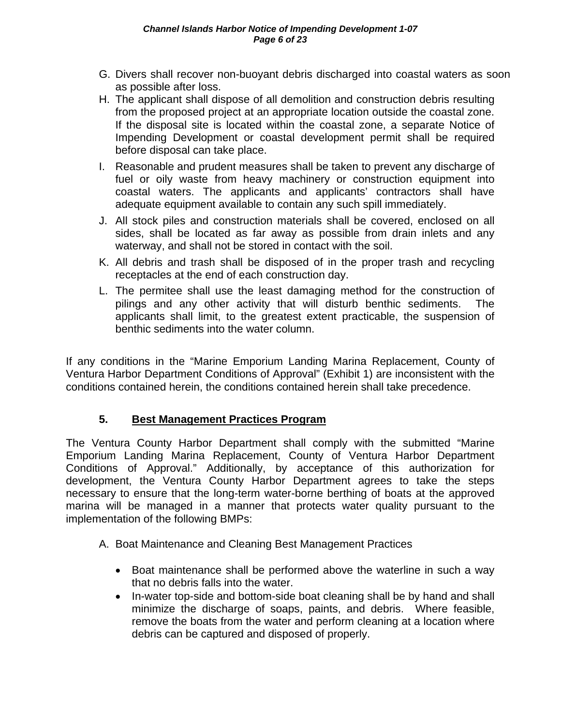- G. Divers shall recover non-buoyant debris discharged into coastal waters as soon as possible after loss.
- H. The applicant shall dispose of all demolition and construction debris resulting from the proposed project at an appropriate location outside the coastal zone. If the disposal site is located within the coastal zone, a separate Notice of Impending Development or coastal development permit shall be required before disposal can take place.
- I. Reasonable and prudent measures shall be taken to prevent any discharge of fuel or oily waste from heavy machinery or construction equipment into coastal waters. The applicants and applicants' contractors shall have adequate equipment available to contain any such spill immediately.
- J. All stock piles and construction materials shall be covered, enclosed on all sides, shall be located as far away as possible from drain inlets and any waterway, and shall not be stored in contact with the soil.
- K. All debris and trash shall be disposed of in the proper trash and recycling receptacles at the end of each construction day.
- L. The permitee shall use the least damaging method for the construction of pilings and any other activity that will disturb benthic sediments. The applicants shall limit, to the greatest extent practicable, the suspension of benthic sediments into the water column.

If any conditions in the "Marine Emporium Landing Marina Replacement, County of Ventura Harbor Department Conditions of Approval" (Exhibit 1) are inconsistent with the conditions contained herein, the conditions contained herein shall take precedence.

## **5. Best Management Practices Program**

The Ventura County Harbor Department shall comply with the submitted "Marine Emporium Landing Marina Replacement, County of Ventura Harbor Department Conditions of Approval." Additionally, by acceptance of this authorization for development, the Ventura County Harbor Department agrees to take the steps necessary to ensure that the long-term water-borne berthing of boats at the approved marina will be managed in a manner that protects water quality pursuant to the implementation of the following BMPs:

- A. Boat Maintenance and Cleaning Best Management Practices
	- Boat maintenance shall be performed above the waterline in such a way that no debris falls into the water.
	- In-water top-side and bottom-side boat cleaning shall be by hand and shall minimize the discharge of soaps, paints, and debris. Where feasible, remove the boats from the water and perform cleaning at a location where debris can be captured and disposed of properly.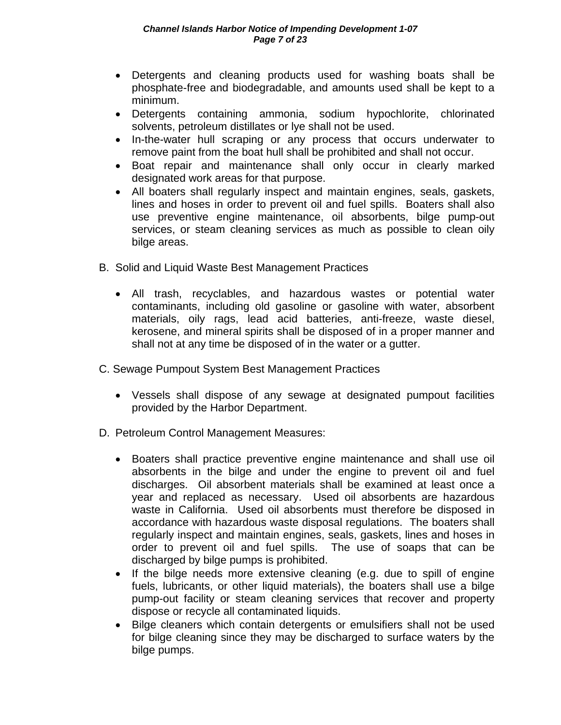- Detergents and cleaning products used for washing boats shall be phosphate-free and biodegradable, and amounts used shall be kept to a minimum.
- Detergents containing ammonia, sodium hypochlorite, chlorinated solvents, petroleum distillates or lye shall not be used.
- In-the-water hull scraping or any process that occurs underwater to remove paint from the boat hull shall be prohibited and shall not occur.
- Boat repair and maintenance shall only occur in clearly marked designated work areas for that purpose.
- All boaters shall regularly inspect and maintain engines, seals, gaskets, lines and hoses in order to prevent oil and fuel spills. Boaters shall also use preventive engine maintenance, oil absorbents, bilge pump-out services, or steam cleaning services as much as possible to clean oily bilge areas.
- B. Solid and Liquid Waste Best Management Practices
	- All trash, recyclables, and hazardous wastes or potential water contaminants, including old gasoline or gasoline with water, absorbent materials, oily rags, lead acid batteries, anti-freeze, waste diesel, kerosene, and mineral spirits shall be disposed of in a proper manner and shall not at any time be disposed of in the water or a gutter.
- C. Sewage Pumpout System Best Management Practices
	- Vessels shall dispose of any sewage at designated pumpout facilities provided by the Harbor Department.
- D. Petroleum Control Management Measures:
	- Boaters shall practice preventive engine maintenance and shall use oil absorbents in the bilge and under the engine to prevent oil and fuel discharges. Oil absorbent materials shall be examined at least once a year and replaced as necessary. Used oil absorbents are hazardous waste in California. Used oil absorbents must therefore be disposed in accordance with hazardous waste disposal regulations. The boaters shall regularly inspect and maintain engines, seals, gaskets, lines and hoses in order to prevent oil and fuel spills. The use of soaps that can be discharged by bilge pumps is prohibited.
	- If the bilge needs more extensive cleaning (e.g. due to spill of engine fuels, lubricants, or other liquid materials), the boaters shall use a bilge pump-out facility or steam cleaning services that recover and property dispose or recycle all contaminated liquids.
	- Bilge cleaners which contain detergents or emulsifiers shall not be used for bilge cleaning since they may be discharged to surface waters by the bilge pumps.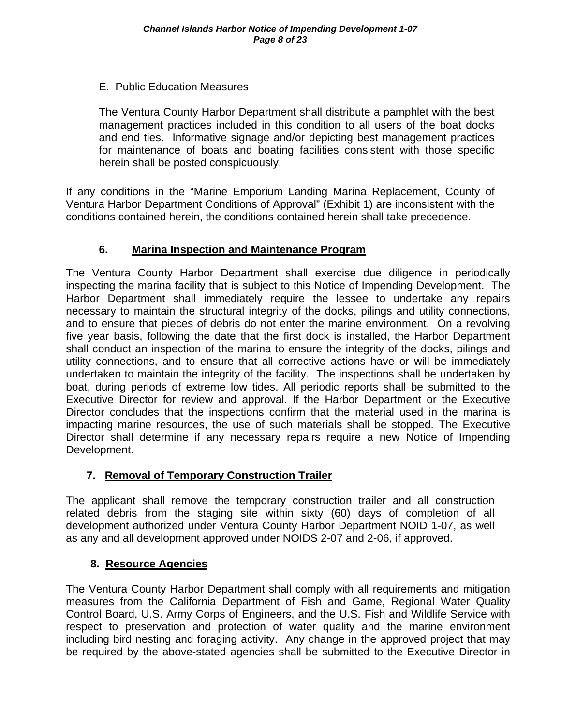## E. Public Education Measures

The Ventura County Harbor Department shall distribute a pamphlet with the best management practices included in this condition to all users of the boat docks and end ties. Informative signage and/or depicting best management practices for maintenance of boats and boating facilities consistent with those specific herein shall be posted conspicuously.

If any conditions in the "Marine Emporium Landing Marina Replacement, County of Ventura Harbor Department Conditions of Approval" (Exhibit 1) are inconsistent with the conditions contained herein, the conditions contained herein shall take precedence.

#### **6. Marina Inspection and Maintenance Program**

The Ventura County Harbor Department shall exercise due diligence in periodically inspecting the marina facility that is subject to this Notice of Impending Development. The Harbor Department shall immediately require the lessee to undertake any repairs necessary to maintain the structural integrity of the docks, pilings and utility connections, and to ensure that pieces of debris do not enter the marine environment. On a revolving five year basis, following the date that the first dock is installed, the Harbor Department shall conduct an inspection of the marina to ensure the integrity of the docks, pilings and utility connections, and to ensure that all corrective actions have or will be immediately undertaken to maintain the integrity of the facility. The inspections shall be undertaken by boat, during periods of extreme low tides. All periodic reports shall be submitted to the Executive Director for review and approval. If the Harbor Department or the Executive Director concludes that the inspections confirm that the material used in the marina is impacting marine resources, the use of such materials shall be stopped. The Executive Director shall determine if any necessary repairs require a new Notice of Impending Development.

## **7. Removal of Temporary Construction Trailer**

The applicant shall remove the temporary construction trailer and all construction related debris from the staging site within sixty (60) days of completion of all development authorized under Ventura County Harbor Department NOID 1-07, as well as any and all development approved under NOIDS 2-07 and 2-06, if approved.

## **8. Resource Agencies**

The Ventura County Harbor Department shall comply with all requirements and mitigation measures from the California Department of Fish and Game, Regional Water Quality Control Board, U.S. Army Corps of Engineers, and the U.S. Fish and Wildlife Service with respect to preservation and protection of water quality and the marine environment including bird nesting and foraging activity. Any change in the approved project that may be required by the above-stated agencies shall be submitted to the Executive Director in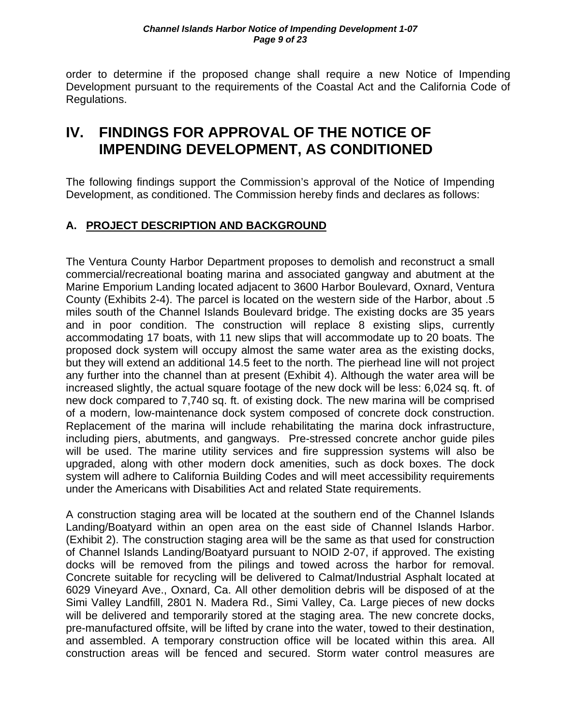order to determine if the proposed change shall require a new Notice of Impending Development pursuant to the requirements of the Coastal Act and the California Code of Regulations.

# **IV. FINDINGS FOR APPROVAL OF THE NOTICE OF IMPENDING DEVELOPMENT, AS CONDITIONED**

The following findings support the Commission's approval of the Notice of Impending Development, as conditioned. The Commission hereby finds and declares as follows:

## **A. PROJECT DESCRIPTION AND BACKGROUND**

The Ventura County Harbor Department proposes to demolish and reconstruct a small commercial/recreational boating marina and associated gangway and abutment at the Marine Emporium Landing located adjacent to 3600 Harbor Boulevard, Oxnard, Ventura County (Exhibits 2-4). The parcel is located on the western side of the Harbor, about .5 miles south of the Channel Islands Boulevard bridge. The existing docks are 35 years and in poor condition. The construction will replace 8 existing slips, currently accommodating 17 boats, with 11 new slips that will accommodate up to 20 boats. The proposed dock system will occupy almost the same water area as the existing docks, but they will extend an additional 14.5 feet to the north. The pierhead line will not project any further into the channel than at present (Exhibit 4). Although the water area will be increased slightly, the actual square footage of the new dock will be less: 6,024 sq. ft. of new dock compared to 7,740 sq. ft. of existing dock. The new marina will be comprised of a modern, low-maintenance dock system composed of concrete dock construction. Replacement of the marina will include rehabilitating the marina dock infrastructure, including piers, abutments, and gangways. Pre-stressed concrete anchor guide piles will be used. The marine utility services and fire suppression systems will also be upgraded, along with other modern dock amenities, such as dock boxes. The dock system will adhere to California Building Codes and will meet accessibility requirements under the Americans with Disabilities Act and related State requirements.

A construction staging area will be located at the southern end of the Channel Islands Landing/Boatyard within an open area on the east side of Channel Islands Harbor. (Exhibit 2). The construction staging area will be the same as that used for construction of Channel Islands Landing/Boatyard pursuant to NOID 2-07, if approved. The existing docks will be removed from the pilings and towed across the harbor for removal. Concrete suitable for recycling will be delivered to Calmat/Industrial Asphalt located at 6029 Vineyard Ave., Oxnard, Ca. All other demolition debris will be disposed of at the Simi Valley Landfill, 2801 N. Madera Rd., Simi Valley, Ca. Large pieces of new docks will be delivered and temporarily stored at the staging area. The new concrete docks, pre-manufactured offsite, will be lifted by crane into the water, towed to their destination, and assembled. A temporary construction office will be located within this area. All construction areas will be fenced and secured. Storm water control measures are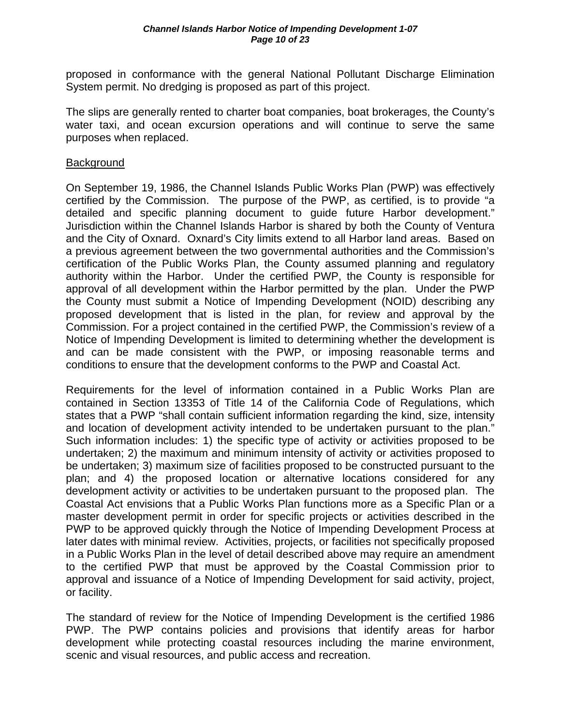proposed in conformance with the general National Pollutant Discharge Elimination System permit. No dredging is proposed as part of this project.

The slips are generally rented to charter boat companies, boat brokerages, the County's water taxi, and ocean excursion operations and will continue to serve the same purposes when replaced.

#### **Background**

On September 19, 1986, the Channel Islands Public Works Plan (PWP) was effectively certified by the Commission. The purpose of the PWP, as certified, is to provide "a detailed and specific planning document to guide future Harbor development." Jurisdiction within the Channel Islands Harbor is shared by both the County of Ventura and the City of Oxnard. Oxnard's City limits extend to all Harbor land areas. Based on a previous agreement between the two governmental authorities and the Commission's certification of the Public Works Plan, the County assumed planning and regulatory authority within the Harbor. Under the certified PWP, the County is responsible for approval of all development within the Harbor permitted by the plan. Under the PWP the County must submit a Notice of Impending Development (NOID) describing any proposed development that is listed in the plan, for review and approval by the Commission. For a project contained in the certified PWP, the Commission's review of a Notice of Impending Development is limited to determining whether the development is and can be made consistent with the PWP, or imposing reasonable terms and conditions to ensure that the development conforms to the PWP and Coastal Act.

Requirements for the level of information contained in a Public Works Plan are contained in Section 13353 of Title 14 of the California Code of Regulations, which states that a PWP "shall contain sufficient information regarding the kind, size, intensity and location of development activity intended to be undertaken pursuant to the plan." Such information includes: 1) the specific type of activity or activities proposed to be undertaken; 2) the maximum and minimum intensity of activity or activities proposed to be undertaken; 3) maximum size of facilities proposed to be constructed pursuant to the plan; and 4) the proposed location or alternative locations considered for any development activity or activities to be undertaken pursuant to the proposed plan. The Coastal Act envisions that a Public Works Plan functions more as a Specific Plan or a master development permit in order for specific projects or activities described in the PWP to be approved quickly through the Notice of Impending Development Process at later dates with minimal review. Activities, projects, or facilities not specifically proposed in a Public Works Plan in the level of detail described above may require an amendment to the certified PWP that must be approved by the Coastal Commission prior to approval and issuance of a Notice of Impending Development for said activity, project, or facility.

The standard of review for the Notice of Impending Development is the certified 1986 PWP. The PWP contains policies and provisions that identify areas for harbor development while protecting coastal resources including the marine environment, scenic and visual resources, and public access and recreation.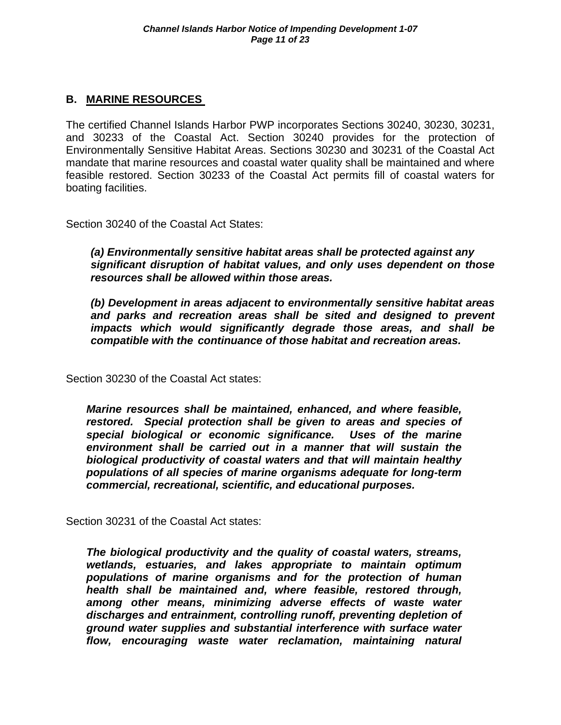## **B. MARINE RESOURCES**

The certified Channel Islands Harbor PWP incorporates Sections 30240, 30230, 30231, and 30233 of the Coastal Act. Section 30240 provides for the protection of Environmentally Sensitive Habitat Areas. Sections 30230 and 30231 of the Coastal Act mandate that marine resources and coastal water quality shall be maintained and where feasible restored. Section 30233 of the Coastal Act permits fill of coastal waters for boating facilities.

Section 30240 of the Coastal Act States:

*(a) Environmentally sensitive habitat areas shall be protected against any significant disruption of habitat values, and only uses dependent on those resources shall be allowed within those areas.* 

 *(b) Development in areas adjacent to environmentally sensitive habitat areas*  and parks and recreation areas shall be sited and designed to prevent  *impacts which would significantly degrade those areas, and shall be compatible with the continuance of those habitat and recreation areas.*

Section 30230 of the Coastal Act states:

*Marine resources shall be maintained, enhanced, and where feasible, restored. Special protection shall be given to areas and species of special biological or economic significance. Uses of the marine environment shall be carried out in a manner that will sustain the biological productivity of coastal waters and that will maintain healthy populations of all species of marine organisms adequate for long-term commercial, recreational, scientific, and educational purposes.* 

Section 30231 of the Coastal Act states:

*The biological productivity and the quality of coastal waters, streams, wetlands, estuaries, and lakes appropriate to maintain optimum populations of marine organisms and for the protection of human health shall be maintained and, where feasible, restored through, among other means, minimizing adverse effects of waste water discharges and entrainment, controlling runoff, preventing depletion of ground water supplies and substantial interference with surface water flow, encouraging waste water reclamation, maintaining natural*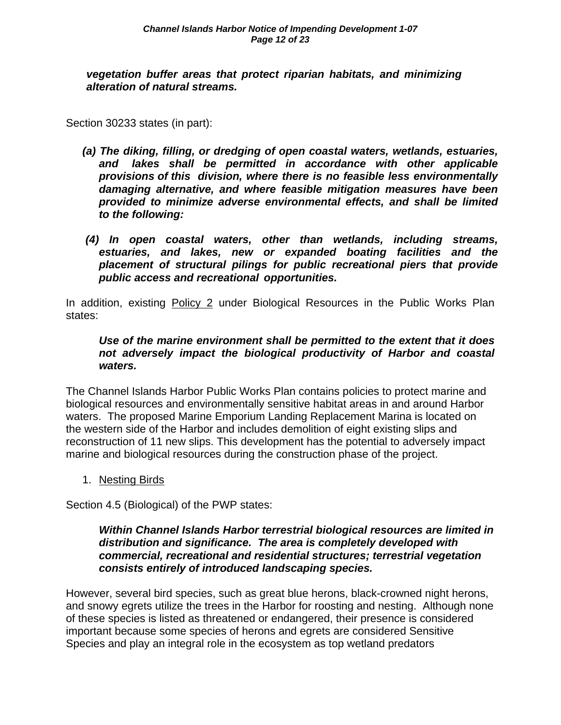*vegetation buffer areas that protect riparian habitats, and minimizing alteration of natural streams.* 

Section 30233 states (in part):

- *(a) The diking, filling, or dredging of open coastal waters, wetlands, estuaries, and lakes shall be permitted in accordance with other applicable provisions of this division, where there is no feasible less environmentally damaging alternative, and where feasible mitigation measures have been provided to minimize adverse environmental effects, and shall be limited to the following:*
- *(4) In open coastal waters, other than wetlands, including streams, estuaries, and lakes, new or expanded boating facilities and the placement of structural pilings for public recreational piers that provide public access and recreational opportunities.*

In addition, existing Policy 2 under Biological Resources in the Public Works Plan states:

#### *Use of the marine environment shall be permitted to the extent that it does not adversely impact the biological productivity of Harbor and coastal waters.*

The Channel Islands Harbor Public Works Plan contains policies to protect marine and biological resources and environmentally sensitive habitat areas in and around Harbor waters. The proposed Marine Emporium Landing Replacement Marina is located on the western side of the Harbor and includes demolition of eight existing slips and reconstruction of 11 new slips. This development has the potential to adversely impact marine and biological resources during the construction phase of the project.

1. Nesting Birds

Section 4.5 (Biological) of the PWP states:

#### *Within Channel Islands Harbor terrestrial biological resources are limited in distribution and significance. The area is completely developed with commercial, recreational and residential structures; terrestrial vegetation consists entirely of introduced landscaping species.*

However, several bird species, such as great blue herons, black-crowned night herons, and snowy egrets utilize the trees in the Harbor for roosting and nesting. Although none of these species is listed as threatened or endangered, their presence is considered important because some species of herons and egrets are considered Sensitive Species and play an integral role in the ecosystem as top wetland predators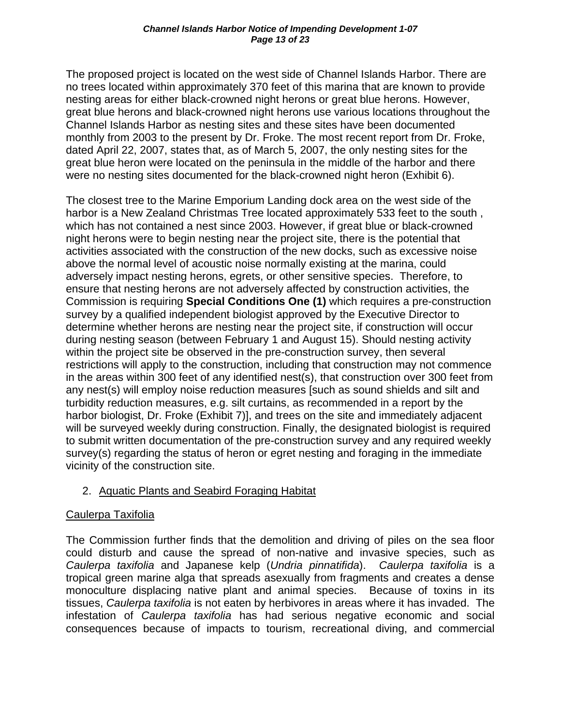The proposed project is located on the west side of Channel Islands Harbor. There are no trees located within approximately 370 feet of this marina that are known to provide nesting areas for either black-crowned night herons or great blue herons. However, great blue herons and black-crowned night herons use various locations throughout the Channel Islands Harbor as nesting sites and these sites have been documented monthly from 2003 to the present by Dr. Froke. The most recent report from Dr. Froke, dated April 22, 2007, states that, as of March 5, 2007, the only nesting sites for the great blue heron were located on the peninsula in the middle of the harbor and there were no nesting sites documented for the black-crowned night heron (Exhibit 6).

The closest tree to the Marine Emporium Landing dock area on the west side of the harbor is a New Zealand Christmas Tree located approximately 533 feet to the south , which has not contained a nest since 2003. However, if great blue or black-crowned night herons were to begin nesting near the project site, there is the potential that activities associated with the construction of the new docks, such as excessive noise above the normal level of acoustic noise normally existing at the marina, could adversely impact nesting herons, egrets, or other sensitive species. Therefore, to ensure that nesting herons are not adversely affected by construction activities, the Commission is requiring **Special Conditions One (1)** which requires a pre-construction survey by a qualified independent biologist approved by the Executive Director to determine whether herons are nesting near the project site, if construction will occur during nesting season (between February 1 and August 15). Should nesting activity within the project site be observed in the pre-construction survey, then several restrictions will apply to the construction, including that construction may not commence in the areas within 300 feet of any identified nest(s), that construction over 300 feet from any nest(s) will employ noise reduction measures [such as sound shields and silt and turbidity reduction measures, e.g. silt curtains, as recommended in a report by the harbor biologist, Dr. Froke (Exhibit 7)], and trees on the site and immediately adjacent will be surveyed weekly during construction. Finally, the designated biologist is required to submit written documentation of the pre-construction survey and any required weekly survey(s) regarding the status of heron or egret nesting and foraging in the immediate vicinity of the construction site.

## 2. Aquatic Plants and Seabird Foraging Habitat

## Caulerpa Taxifolia

The Commission further finds that the demolition and driving of piles on the sea floor could disturb and cause the spread of non-native and invasive species, such as *Caulerpa taxifolia* and Japanese kelp (*Undria pinnatifida*). *Caulerpa taxifolia* is a tropical green marine alga that spreads asexually from fragments and creates a dense monoculture displacing native plant and animal species. Because of toxins in its tissues, *Caulerpa taxifolia* is not eaten by herbivores in areas where it has invaded. The infestation of *Caulerpa taxifolia* has had serious negative economic and social consequences because of impacts to tourism, recreational diving, and commercial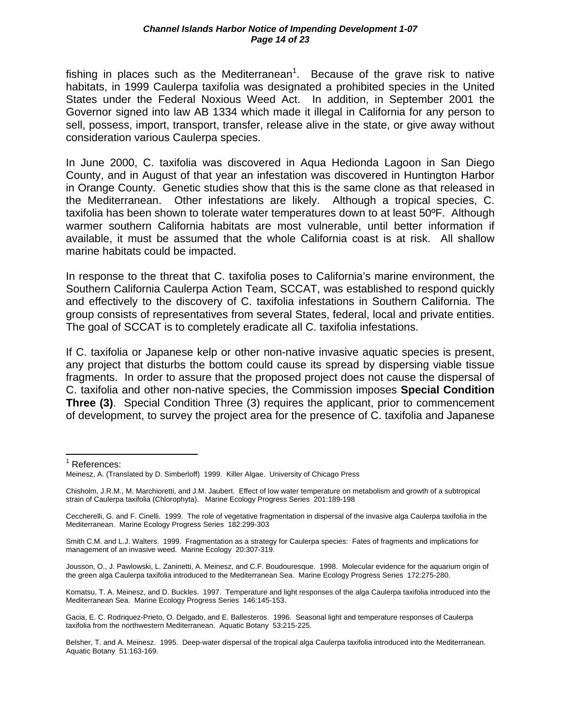fishing in places such as the Mediterranean<sup>1</sup>. Because of the grave risk to native habitats, in 1999 Caulerpa taxifolia was designated a prohibited species in the United States under the Federal Noxious Weed Act. In addition, in September 2001 the Governor signed into law AB 1334 which made it illegal in California for any person to sell, possess, import, transport, transfer, release alive in the state, or give away without consideration various Caulerpa species.

In June 2000, C. taxifolia was discovered in Aqua Hedionda Lagoon in San Diego County, and in August of that year an infestation was discovered in Huntington Harbor in Orange County. Genetic studies show that this is the same clone as that released in the Mediterranean. Other infestations are likely. Although a tropical species, C. taxifolia has been shown to tolerate water temperatures down to at least 50ºF. Although warmer southern California habitats are most vulnerable, until better information if available, it must be assumed that the whole California coast is at risk. All shallow marine habitats could be impacted.

In response to the threat that C. taxifolia poses to California's marine environment, the Southern California Caulerpa Action Team, SCCAT, was established to respond quickly and effectively to the discovery of C. taxifolia infestations in Southern California. The group consists of representatives from several States, federal, local and private entities. The goal of SCCAT is to completely eradicate all C. taxifolia infestations.

If C. taxifolia or Japanese kelp or other non-native invasive aquatic species is present, any project that disturbs the bottom could cause its spread by dispersing viable tissue fragments. In order to assure that the proposed project does not cause the dispersal of C. taxifolia and other non-native species, the Commission imposes **Special Condition Three (3)**. Special Condition Three (3) requires the applicant, prior to commencement of development, to survey the project area for the presence of C. taxifolia and Japanese

<sup>1</sup> References:

 $\overline{a}$ 

Smith C.M. and L.J. Walters. 1999. Fragmentation as a strategy for Caulerpa species: Fates of fragments and implications for management of an invasive weed. Marine Ecology 20:307-319.

Jousson, O., J. Pawlowski, L. Zaninetti, A. Meinesz, and C.F. Boudouresque. 1998. Molecular evidence for the aquarium origin of the green alga Caulerpa taxifolia introduced to the Mediterranean Sea. Marine Ecology Progress Series 172:275-280.

Komatsu, T. A. Meinesz, and D. Buckles. 1997. Temperature and light responses of the alga Caulerpa taxifolia introduced into the Mediterranean Sea. Marine Ecology Progress Series 146:145-153.

Gacia, E. C. Rodriquez-Prieto, O. Delgado, and E. Ballesteros. 1996. Seasonal light and temperature responses of Caulerpa taxifolia from the northwestern Mediterranean. Aquatic Botany 53:215-225.

Belsher, T. and A. Meinesz. 1995. Deep-water dispersal of the tropical alga Caulerpa taxifolia introduced into the Mediterranean. Aquatic Botany 51:163-169.

Meinesz, A. (Translated by D. Simberloff) 1999. Killer Algae. University of Chicago Press

Chisholm, J.R.M., M. Marchioretti, and J.M. Jaubert. Effect of low water temperature on metabolism and growth of a subtropical strain of Caulerpa taxifolia (Chlorophyta). Marine Ecology Progress Series 201:189-198

Ceccherelli, G. and F. Cinelli. 1999. The role of vegetative fragmentation in dispersal of the invasive alga Caulerpa taxifolia in the Mediterranean. Marine Ecology Progress Series 182:299-303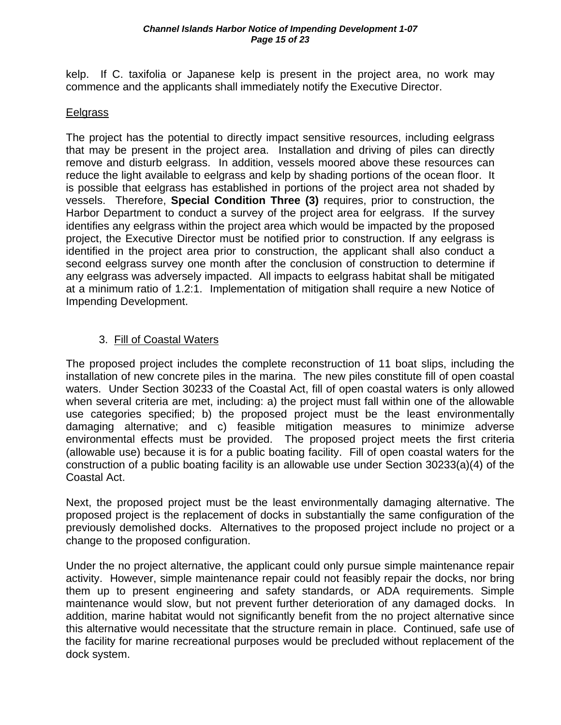kelp. If C. taxifolia or Japanese kelp is present in the project area, no work may commence and the applicants shall immediately notify the Executive Director.

#### Eelgrass

The project has the potential to directly impact sensitive resources, including eelgrass that may be present in the project area. Installation and driving of piles can directly remove and disturb eelgrass. In addition, vessels moored above these resources can reduce the light available to eelgrass and kelp by shading portions of the ocean floor. It is possible that eelgrass has established in portions of the project area not shaded by vessels. Therefore, **Special Condition Three (3)** requires, prior to construction, the Harbor Department to conduct a survey of the project area for eelgrass. If the survey identifies any eelgrass within the project area which would be impacted by the proposed project, the Executive Director must be notified prior to construction. If any eelgrass is identified in the project area prior to construction, the applicant shall also conduct a second eelgrass survey one month after the conclusion of construction to determine if any eelgrass was adversely impacted. All impacts to eelgrass habitat shall be mitigated at a minimum ratio of 1.2:1. Implementation of mitigation shall require a new Notice of Impending Development.

## 3. Fill of Coastal Waters

The proposed project includes the complete reconstruction of 11 boat slips, including the installation of new concrete piles in the marina. The new piles constitute fill of open coastal waters. Under Section 30233 of the Coastal Act, fill of open coastal waters is only allowed when several criteria are met, including: a) the project must fall within one of the allowable use categories specified; b) the proposed project must be the least environmentally damaging alternative; and c) feasible mitigation measures to minimize adverse environmental effects must be provided. The proposed project meets the first criteria (allowable use) because it is for a public boating facility. Fill of open coastal waters for the construction of a public boating facility is an allowable use under Section 30233(a)(4) of the Coastal Act.

Next, the proposed project must be the least environmentally damaging alternative. The proposed project is the replacement of docks in substantially the same configuration of the previously demolished docks. Alternatives to the proposed project include no project or a change to the proposed configuration.

Under the no project alternative, the applicant could only pursue simple maintenance repair activity. However, simple maintenance repair could not feasibly repair the docks, nor bring them up to present engineering and safety standards, or ADA requirements. Simple maintenance would slow, but not prevent further deterioration of any damaged docks. In addition, marine habitat would not significantly benefit from the no project alternative since this alternative would necessitate that the structure remain in place. Continued, safe use of the facility for marine recreational purposes would be precluded without replacement of the dock system.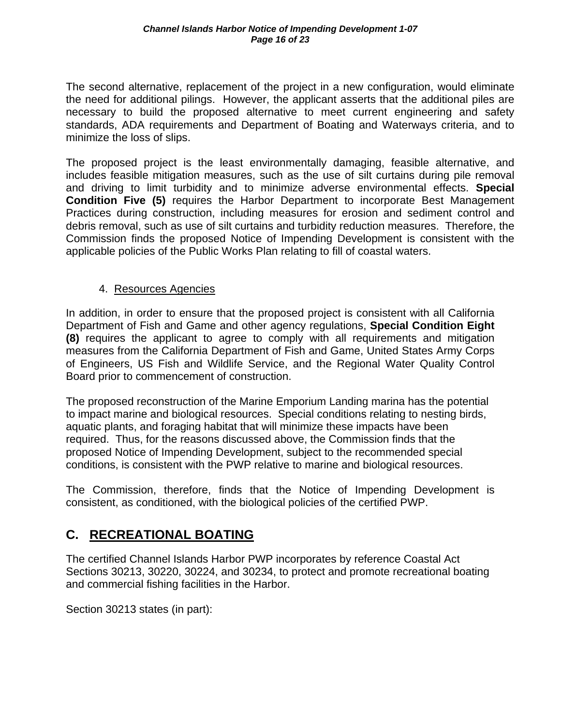The second alternative, replacement of the project in a new configuration, would eliminate the need for additional pilings. However, the applicant asserts that the additional piles are necessary to build the proposed alternative to meet current engineering and safety standards, ADA requirements and Department of Boating and Waterways criteria, and to minimize the loss of slips.

The proposed project is the least environmentally damaging, feasible alternative, and includes feasible mitigation measures, such as the use of silt curtains during pile removal and driving to limit turbidity and to minimize adverse environmental effects. **Special Condition Five (5)** requires the Harbor Department to incorporate Best Management Practices during construction, including measures for erosion and sediment control and debris removal, such as use of silt curtains and turbidity reduction measures. Therefore, the Commission finds the proposed Notice of Impending Development is consistent with the applicable policies of the Public Works Plan relating to fill of coastal waters.

## 4. Resources Agencies

In addition, in order to ensure that the proposed project is consistent with all California Department of Fish and Game and other agency regulations, **Special Condition Eight (8)** requires the applicant to agree to comply with all requirements and mitigation measures from the California Department of Fish and Game, United States Army Corps of Engineers, US Fish and Wildlife Service, and the Regional Water Quality Control Board prior to commencement of construction.

The proposed reconstruction of the Marine Emporium Landing marina has the potential to impact marine and biological resources. Special conditions relating to nesting birds, aquatic plants, and foraging habitat that will minimize these impacts have been required. Thus, for the reasons discussed above, the Commission finds that the proposed Notice of Impending Development, subject to the recommended special conditions, is consistent with the PWP relative to marine and biological resources.

The Commission, therefore, finds that the Notice of Impending Development is consistent, as conditioned, with the biological policies of the certified PWP.

# **C. RECREATIONAL BOATING**

The certified Channel Islands Harbor PWP incorporates by reference Coastal Act Sections 30213, 30220, 30224, and 30234, to protect and promote recreational boating and commercial fishing facilities in the Harbor.

Section 30213 states (in part):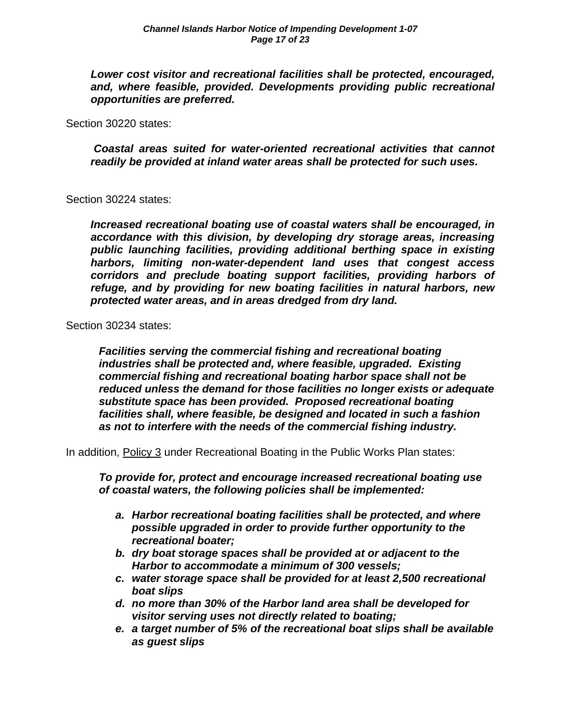*Lower cost visitor and recreational facilities shall be protected, encouraged, and, where feasible, provided. Developments providing public recreational opportunities are preferred.* 

Section 30220 states:

*Coastal areas suited for water-oriented recreational activities that cannot readily be provided at inland water areas shall be protected for such uses.* 

Section 30224 states:

*Increased recreational boating use of coastal waters shall be encouraged, in accordance with this division, by developing dry storage areas, increasing public launching facilities, providing additional berthing space in existing harbors, limiting non-water-dependent land uses that congest access corridors and preclude boating support facilities, providing harbors of refuge, and by providing for new boating facilities in natural harbors, new protected water areas, and in areas dredged from dry land.* 

Section 30234 states:

*Facilities serving the commercial fishing and recreational boating industries shall be protected and, where feasible, upgraded. Existing commercial fishing and recreational boating harbor space shall not be reduced unless the demand for those facilities no longer exists or adequate substitute space has been provided. Proposed recreational boating facilities shall, where feasible, be designed and located in such a fashion as not to interfere with the needs of the commercial fishing industry.* 

In addition, Policy 3 under Recreational Boating in the Public Works Plan states:

*To provide for, protect and encourage increased recreational boating use of coastal waters, the following policies shall be implemented:* 

- *a. Harbor recreational boating facilities shall be protected, and where possible upgraded in order to provide further opportunity to the recreational boater;*
- *b. dry boat storage spaces shall be provided at or adjacent to the Harbor to accommodate a minimum of 300 vessels;*
- *c. water storage space shall be provided for at least 2,500 recreational boat slips*
- *d. no more than 30% of the Harbor land area shall be developed for visitor serving uses not directly related to boating;*
- *e. a target number of 5% of the recreational boat slips shall be available as guest slips*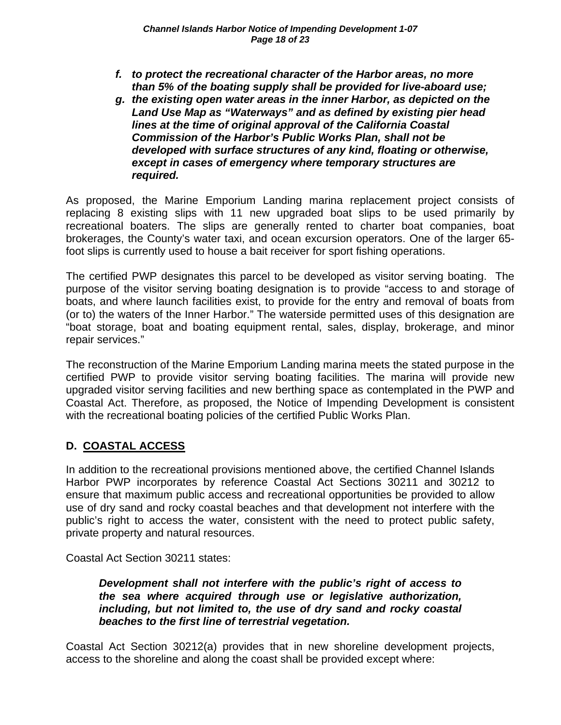- *f. to protect the recreational character of the Harbor areas, no more than 5% of the boating supply shall be provided for live-aboard use;*
- *g. the existing open water areas in the inner Harbor, as depicted on the Land Use Map as "Waterways" and as defined by existing pier head lines at the time of original approval of the California Coastal Commission of the Harbor's Public Works Plan, shall not be developed with surface structures of any kind, floating or otherwise, except in cases of emergency where temporary structures are required.*

As proposed, the Marine Emporium Landing marina replacement project consists of replacing 8 existing slips with 11 new upgraded boat slips to be used primarily by recreational boaters. The slips are generally rented to charter boat companies, boat brokerages, the County's water taxi, and ocean excursion operators. One of the larger 65 foot slips is currently used to house a bait receiver for sport fishing operations.

The certified PWP designates this parcel to be developed as visitor serving boating. The purpose of the visitor serving boating designation is to provide "access to and storage of boats, and where launch facilities exist, to provide for the entry and removal of boats from (or to) the waters of the Inner Harbor." The waterside permitted uses of this designation are "boat storage, boat and boating equipment rental, sales, display, brokerage, and minor repair services."

The reconstruction of the Marine Emporium Landing marina meets the stated purpose in the certified PWP to provide visitor serving boating facilities. The marina will provide new upgraded visitor serving facilities and new berthing space as contemplated in the PWP and Coastal Act. Therefore, as proposed, the Notice of Impending Development is consistent with the recreational boating policies of the certified Public Works Plan.

## **D. COASTAL ACCESS**

In addition to the recreational provisions mentioned above, the certified Channel Islands Harbor PWP incorporates by reference Coastal Act Sections 30211 and 30212 to ensure that maximum public access and recreational opportunities be provided to allow use of dry sand and rocky coastal beaches and that development not interfere with the public's right to access the water, consistent with the need to protect public safety, private property and natural resources.

Coastal Act Section 30211 states:

*Development shall not interfere with the public's right of access to the sea where acquired through use or legislative authorization, including, but not limited to, the use of dry sand and rocky coastal beaches to the first line of terrestrial vegetation.* 

Coastal Act Section 30212(a) provides that in new shoreline development projects, access to the shoreline and along the coast shall be provided except where: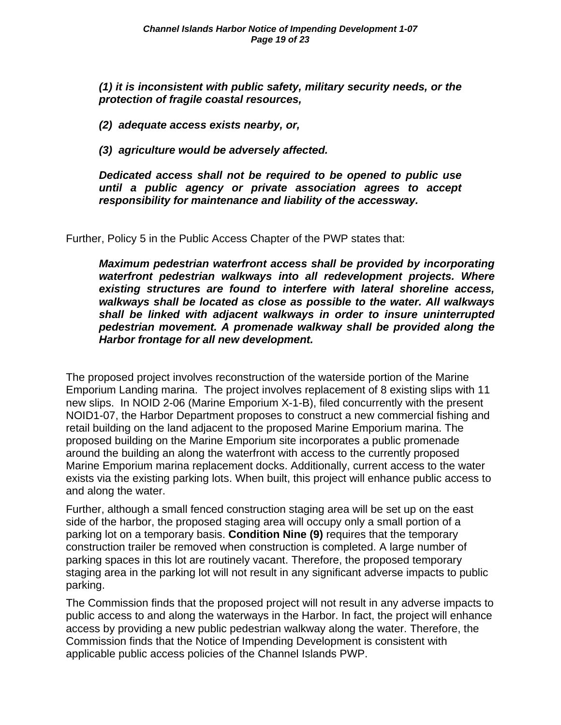*(1) it is inconsistent with public safety, military security needs, or the protection of fragile coastal resources,* 

*(2) adequate access exists nearby, or,* 

*(3) agriculture would be adversely affected.* 

*Dedicated access shall not be required to be opened to public use until a public agency or private association agrees to accept responsibility for maintenance and liability of the accessway.* 

Further, Policy 5 in the Public Access Chapter of the PWP states that:

*Maximum pedestrian waterfront access shall be provided by incorporating waterfront pedestrian walkways into all redevelopment projects. Where existing structures are found to interfere with lateral shoreline access, walkways shall be located as close as possible to the water. All walkways shall be linked with adjacent walkways in order to insure uninterrupted pedestrian movement. A promenade walkway shall be provided along the Harbor frontage for all new development.* 

The proposed project involves reconstruction of the waterside portion of the Marine Emporium Landing marina. The project involves replacement of 8 existing slips with 11 new slips. In NOID 2-06 (Marine Emporium X-1-B), filed concurrently with the present NOID1-07, the Harbor Department proposes to construct a new commercial fishing and retail building on the land adjacent to the proposed Marine Emporium marina. The proposed building on the Marine Emporium site incorporates a public promenade around the building an along the waterfront with access to the currently proposed Marine Emporium marina replacement docks. Additionally, current access to the water exists via the existing parking lots. When built, this project will enhance public access to and along the water.

Further, although a small fenced construction staging area will be set up on the east side of the harbor, the proposed staging area will occupy only a small portion of a parking lot on a temporary basis. **Condition Nine (9)** requires that the temporary construction trailer be removed when construction is completed. A large number of parking spaces in this lot are routinely vacant. Therefore, the proposed temporary staging area in the parking lot will not result in any significant adverse impacts to public parking.

The Commission finds that the proposed project will not result in any adverse impacts to public access to and along the waterways in the Harbor. In fact, the project will enhance access by providing a new public pedestrian walkway along the water. Therefore, the Commission finds that the Notice of Impending Development is consistent with applicable public access policies of the Channel Islands PWP.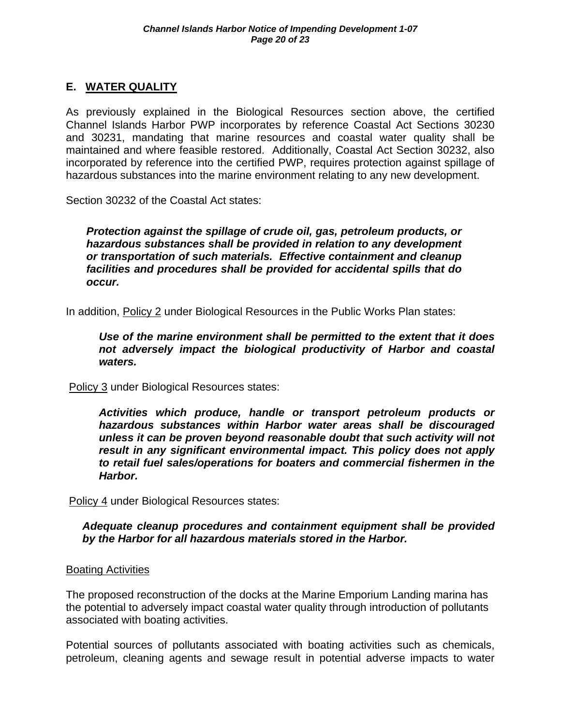## **E. WATER QUALITY**

As previously explained in the Biological Resources section above, the certified Channel Islands Harbor PWP incorporates by reference Coastal Act Sections 30230 and 30231, mandating that marine resources and coastal water quality shall be maintained and where feasible restored. Additionally, Coastal Act Section 30232, also incorporated by reference into the certified PWP, requires protection against spillage of hazardous substances into the marine environment relating to any new development.

Section 30232 of the Coastal Act states:

*Protection against the spillage of crude oil, gas, petroleum products, or hazardous substances shall be provided in relation to any development or transportation of such materials. Effective containment and cleanup facilities and procedures shall be provided for accidental spills that do occur.* 

In addition, Policy 2 under Biological Resources in the Public Works Plan states:

*Use of the marine environment shall be permitted to the extent that it does not adversely impact the biological productivity of Harbor and coastal waters.* 

Policy 3 under Biological Resources states:

*Activities which produce, handle or transport petroleum products or hazardous substances within Harbor water areas shall be discouraged unless it can be proven beyond reasonable doubt that such activity will not result in any significant environmental impact. This policy does not apply to retail fuel sales/operations for boaters and commercial fishermen in the Harbor.* 

Policy 4 under Biological Resources states:

*Adequate cleanup procedures and containment equipment shall be provided by the Harbor for all hazardous materials stored in the Harbor.* 

#### Boating Activities

The proposed reconstruction of the docks at the Marine Emporium Landing marina has the potential to adversely impact coastal water quality through introduction of pollutants associated with boating activities.

Potential sources of pollutants associated with boating activities such as chemicals, petroleum, cleaning agents and sewage result in potential adverse impacts to water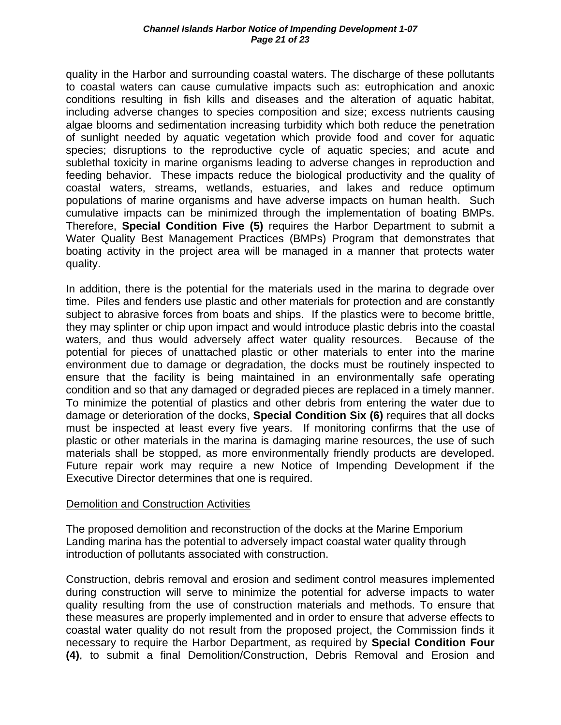quality in the Harbor and surrounding coastal waters. The discharge of these pollutants to coastal waters can cause cumulative impacts such as: eutrophication and anoxic conditions resulting in fish kills and diseases and the alteration of aquatic habitat, including adverse changes to species composition and size; excess nutrients causing algae blooms and sedimentation increasing turbidity which both reduce the penetration of sunlight needed by aquatic vegetation which provide food and cover for aquatic species; disruptions to the reproductive cycle of aquatic species; and acute and sublethal toxicity in marine organisms leading to adverse changes in reproduction and feeding behavior. These impacts reduce the biological productivity and the quality of coastal waters, streams, wetlands, estuaries, and lakes and reduce optimum populations of marine organisms and have adverse impacts on human health. Such cumulative impacts can be minimized through the implementation of boating BMPs. Therefore, **Special Condition Five (5)** requires the Harbor Department to submit a Water Quality Best Management Practices (BMPs) Program that demonstrates that boating activity in the project area will be managed in a manner that protects water quality.

In addition, there is the potential for the materials used in the marina to degrade over time. Piles and fenders use plastic and other materials for protection and are constantly subject to abrasive forces from boats and ships. If the plastics were to become brittle, they may splinter or chip upon impact and would introduce plastic debris into the coastal waters, and thus would adversely affect water quality resources. Because of the potential for pieces of unattached plastic or other materials to enter into the marine environment due to damage or degradation, the docks must be routinely inspected to ensure that the facility is being maintained in an environmentally safe operating condition and so that any damaged or degraded pieces are replaced in a timely manner. To minimize the potential of plastics and other debris from entering the water due to damage or deterioration of the docks, **Special Condition Six (6)** requires that all docks must be inspected at least every five years. If monitoring confirms that the use of plastic or other materials in the marina is damaging marine resources, the use of such materials shall be stopped, as more environmentally friendly products are developed. Future repair work may require a new Notice of Impending Development if the Executive Director determines that one is required.

#### Demolition and Construction Activities

The proposed demolition and reconstruction of the docks at the Marine Emporium Landing marina has the potential to adversely impact coastal water quality through introduction of pollutants associated with construction.

Construction, debris removal and erosion and sediment control measures implemented during construction will serve to minimize the potential for adverse impacts to water quality resulting from the use of construction materials and methods. To ensure that these measures are properly implemented and in order to ensure that adverse effects to coastal water quality do not result from the proposed project, the Commission finds it necessary to require the Harbor Department, as required by **Special Condition Four (4)**, to submit a final Demolition/Construction, Debris Removal and Erosion and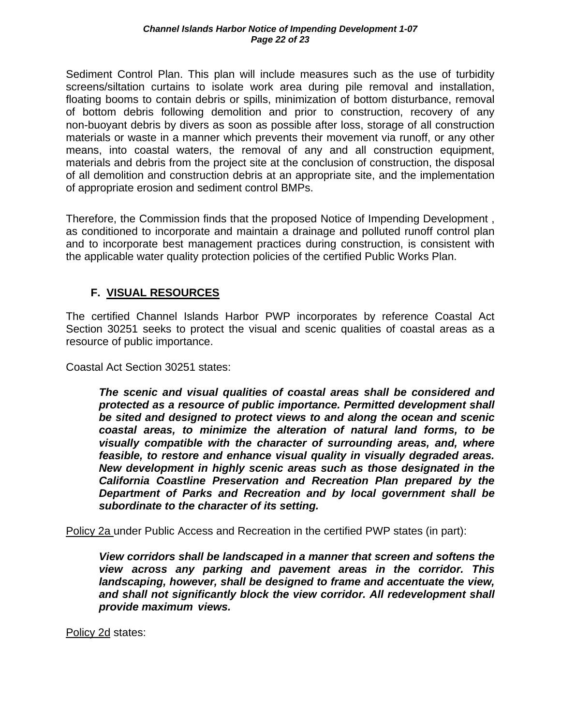Sediment Control Plan. This plan will include measures such as the use of turbidity screens/siltation curtains to isolate work area during pile removal and installation, floating booms to contain debris or spills, minimization of bottom disturbance, removal of bottom debris following demolition and prior to construction, recovery of any non-buoyant debris by divers as soon as possible after loss, storage of all construction materials or waste in a manner which prevents their movement via runoff, or any other means, into coastal waters, the removal of any and all construction equipment, materials and debris from the project site at the conclusion of construction, the disposal of all demolition and construction debris at an appropriate site, and the implementation of appropriate erosion and sediment control BMPs.

Therefore, the Commission finds that the proposed Notice of Impending Development , as conditioned to incorporate and maintain a drainage and polluted runoff control plan and to incorporate best management practices during construction, is consistent with the applicable water quality protection policies of the certified Public Works Plan.

## **F. VISUAL RESOURCES**

The certified Channel Islands Harbor PWP incorporates by reference Coastal Act Section 30251 seeks to protect the visual and scenic qualities of coastal areas as a resource of public importance.

Coastal Act Section 30251 states:

*The scenic and visual qualities of coastal areas shall be considered and protected as a resource of public importance. Permitted development shall be sited and designed to protect views to and along the ocean and scenic coastal areas, to minimize the alteration of natural land forms, to be visually compatible with the character of surrounding areas, and, where feasible, to restore and enhance visual quality in visually degraded areas. New development in highly scenic areas such as those designated in the California Coastline Preservation and Recreation Plan prepared by the Department of Parks and Recreation and by local government shall be subordinate to the character of its setting.* 

Policy 2a under Public Access and Recreation in the certified PWP states (in part):

*View corridors shall be landscaped in a manner that screen and softens the view across any parking and pavement areas in the corridor. This landscaping, however, shall be designed to frame and accentuate the view,*  and shall not significantly block the view corridor. All redevelopment shall  *provide maximum views.* 

Policy 2d states: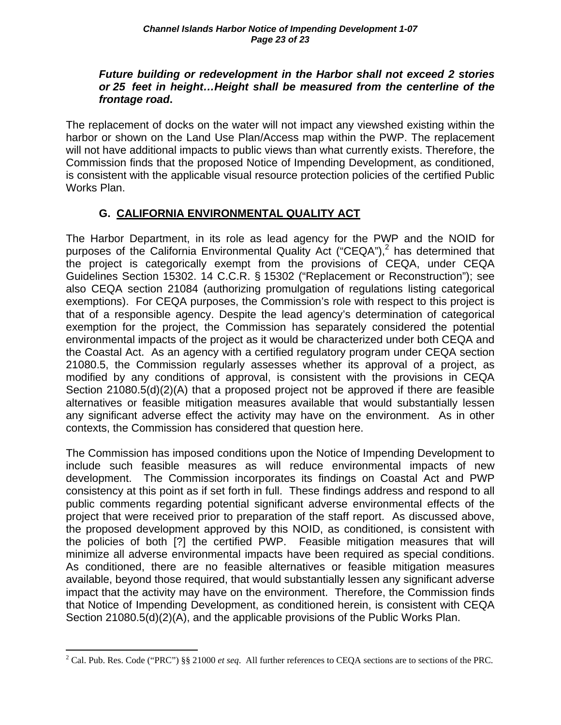#### *Future building or redevelopment in the Harbor shall not exceed 2 stories or 25 feet in height…Height shall be measured from the centerline of the frontage road***.**

The replacement of docks on the water will not impact any viewshed existing within the harbor or shown on the Land Use Plan/Access map within the PWP. The replacement will not have additional impacts to public views than what currently exists. Therefore, the Commission finds that the proposed Notice of Impending Development, as conditioned, is consistent with the applicable visual resource protection policies of the certified Public Works Plan.

## **G. CALIFORNIA ENVIRONMENTAL QUALITY ACT**

The Harbor Department, in its role as lead agency for the PWP and the NOID for purposes of the California Environmental Quality Act ("CEQA"),<sup>2</sup> has determined that the project is categorically exempt from the provisions of CEQA, under CEQA Guidelines Section 15302. 14 C.C.R. § 15302 ("Replacement or Reconstruction"); see also CEQA section 21084 (authorizing promulgation of regulations listing categorical exemptions). For CEQA purposes, the Commission's role with respect to this project is that of a responsible agency. Despite the lead agency's determination of categorical exemption for the project, the Commission has separately considered the potential environmental impacts of the project as it would be characterized under both CEQA and the Coastal Act. As an agency with a certified regulatory program under CEQA section 21080.5, the Commission regularly assesses whether its approval of a project, as modified by any conditions of approval, is consistent with the provisions in CEQA Section 21080.5(d)(2)(A) that a proposed project not be approved if there are feasible alternatives or feasible mitigation measures available that would substantially lessen any significant adverse effect the activity may have on the environment. As in other contexts, the Commission has considered that question here.

The Commission has imposed conditions upon the Notice of Impending Development to include such feasible measures as will reduce environmental impacts of new development. The Commission incorporates its findings on Coastal Act and PWP consistency at this point as if set forth in full. These findings address and respond to all public comments regarding potential significant adverse environmental effects of the project that were received prior to preparation of the staff report. As discussed above, the proposed development approved by this NOID, as conditioned, is consistent with the policies of both [?] the certified PWP. Feasible mitigation measures that will minimize all adverse environmental impacts have been required as special conditions. As conditioned, there are no feasible alternatives or feasible mitigation measures available, beyond those required, that would substantially lessen any significant adverse impact that the activity may have on the environment. Therefore, the Commission finds that Notice of Impending Development, as conditioned herein, is consistent with CEQA Section 21080.5(d)(2)(A), and the applicable provisions of the Public Works Plan.

 $\overline{a}$ <sup>2</sup> Cal. Pub. Res. Code ("PRC") §§ 21000 *et seq.* All further references to CEQA sections are to sections of the PRC.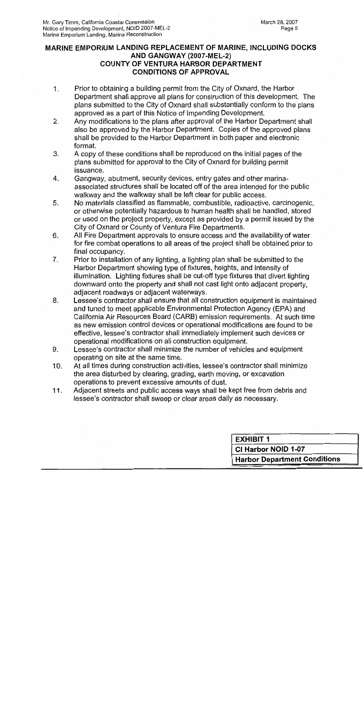#### MARINE EMPORIUM LANDING REPLACEMENT OF MARINE, INCLUDING DOCKS AND GANGWAY (2007-MEL-2) **COUNTY OF VENTURA HARBOR DEPARTMENT CONDITIONS OF APPROVAL**

- $1<sub>-</sub>$ Prior to obtaining a building permit from the City of Oxnard, the Harbor Department shall approve all plans for construction of this development. The plans submitted to the City of Oxnard shall substantially conform to the plans approved as a part of this Notice of Impending Development.
- Any modifications to the plans after approval of the Harbor Department shall  $2.$ also be approved by the Harbor Department. Copies of the approved plans shall be provided to the Harbor Department in both paper and electronic format.
- 3. A copy of these conditions shall be reproduced on the initial pages of the plans submitted for approval to the City of Oxnard for building permit issuance.
- 4. Gangway, abutment, security devices, entry gates and other marinaassociated structures shall be located off of the area intended for the public walkway and the walkway shall be left clear for public access.
- 5. No materials classified as flammable, combustible, radioactive, carcinogenic, or otherwise potentially hazardous to human health shall be handled, stored or used on the project property, except as provided by a permit issued by the City of Oxnard or County of Ventura Fire Departments.
- All Fire Department approvals to ensure access and the availability of water 6. for fire combat operations to all areas of the project shall be obtained prior to final occupancy.
- $7<sub>1</sub>$ Prior to installation of any lighting, a lighting plan shall be submitted to the Harbor Department showing type of fixtures, heights, and intensity of illumination. Lighting fixtures shall be cut-off type fixtures that divert lighting downward onto the property and shall not cast light onto adjacent property. adjacent roadways or adjacent waterways.
- Lessee's contractor shall ensure that all construction equipment is maintained 8. and tuned to meet applicable Environmental Protection Agency (EPA) and California Air Resources Board (CARB) emission requirements. At such time as new emission control devices or operational modifications are found to be effective, lessee's contractor shall immediately implement such devices or operational modifications on all construction equipment.
- 9. Lessee's contractor shall minimize the number of vehicles and equipment operating on site at the same time.
- At all times during construction activities, lessee's contractor shall minimize  $10.$ the area disturbed by clearing, grading, earth moving, or excavation operations to prevent excessive amounts of dust.
- Adjacent streets and public access ways shall be kept free from debris and  $11.$ lessee's contractor shall sweep or clear areas daily as necessary.

| CI Harbor NOID 1-07                 |  |
|-------------------------------------|--|
|                                     |  |
| <b>Harbor Department Conditions</b> |  |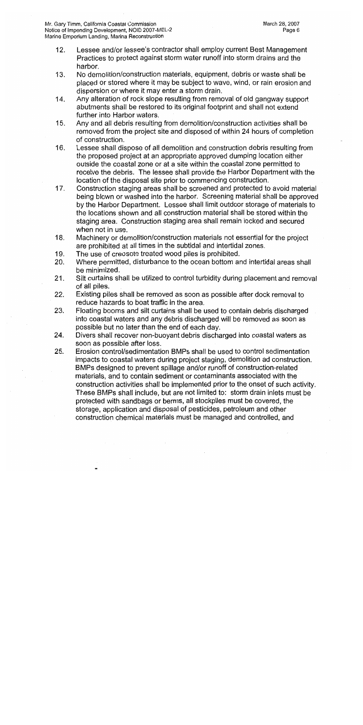- $12.$ Lessee and/or lessee's contractor shall employ current Best Management Practices to protect against storm water runoff into storm drains and the harbor.
- No demolition/construction materials, equipment, debris or waste shall be  $13.$ placed or stored where it may be subject to wave, wind, or rain erosion and dispersion or where it may enter a storm drain.
- Any alteration of rock slope resulting from removal of old gangway support 14. abutments shall be restored to its original footprint and shall not extend further into Harbor waters.
- Any and all debris resulting from demolition/construction activities shall be 15. removed from the project site and disposed of within 24 hours of completion of construction.
- Lessee shall dispose of all demolition and construction debris resulting from 16. the proposed project at an appropriate approved dumping location either outside the coastal zone or at a site within the coastal zone permitted to receive the debris. The lessee shall provide the Harbor Department with the location of the disposal site prior to commencing construction.
- Construction staging areas shall be screened and protected to avoid material  $17.$ being blown or washed into the harbor. Screening material shall be approved by the Harbor Department. Lessee shall limit outdoor storage of materials to the locations shown and all construction material shall be stored within the staging area. Construction staging area shall remain locked and secured when not in use.
- $18.$ Machinery or demolition/construction materials not essential for the project are prohibited at all times in the subtidal and intertidal zones.
- 19. The use of creosote treated wood piles is prohibited.
- Where permitted, disturbance to the ocean bottom and intertidal areas shall 20. be minimized.
- $21.$ Silt curtains shall be utilized to control turbidity during placement and removal of all piles.
- $22.$ Existing piles shall be removed as soon as possible after dock removal to reduce hazards to boat traffic in the area.
- Floating booms and silt curtains shall be used to contain debris discharged 23. into coastal waters and any debris discharged will be removed as soon as possible but no later than the end of each day.
- Divers shall recover non-buoyant debris discharged into coastal waters as 24. soon as possible after loss.
- 25. Erosion control/sedimentation BMPs shall be used to control sedimentation impacts to coastal waters during project staging, demolition ad construction. BMPs designed to prevent spillage and/or runoff of construction-related materials, and to contain sediment or contaminants associated with the construction activities shall be implemented prior to the onset of such activity. These BMPs shall include, but are not limited to: storm drain inlets must be protected with sandbags or berms, all stockpiles must be covered, the storage, application and disposal of pesticides, petroleum and other construction chemical materials must be managed and controlled, and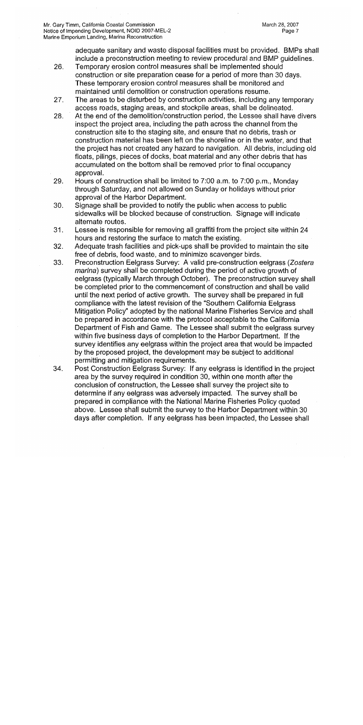adequate sanitary and waste disposal facilities must be provided. BMPs shall include a preconstruction meeting to review procedural and BMP quidelines.

- Temporary erosion control measures shall be implemented should 26. construction or site preparation cease for a period of more than 30 days. These temporary erosion control measures shall be monitored and maintained until demolition or construction operations resume.
- The areas to be disturbed by construction activities, including any temporary 27. access roads, staging areas, and stockpile areas, shall be delineated.
- 28. At the end of the demolition/construction period, the Lessee shall have divers inspect the project area, including the path across the channel from the construction site to the staging site, and ensure that no debris, trash or construction material has been left on the shoreline or in the water, and that the project has not created any hazard to navigation. All debris, including old floats, pilings, pieces of docks, boat material and any other debris that has accumulated on the bottom shall be removed prior to final occupancy approval.
- 29. Hours of construction shall be limited to 7:00 a.m. to 7:00 p.m., Monday through Saturday, and not allowed on Sunday or holidays without prior approval of the Harbor Department.
- Signage shall be provided to notify the public when access to public 30. sidewalks will be blocked because of construction. Signage will indicate alternate routes.
- Lessee is responsible for removing all graffiti from the project site within 24 31. hours and restoring the surface to match the existing.
- Adequate trash facilities and pick-ups shall be provided to maintain the site 32. free of debris, food waste, and to minimize scavenger birds.
- 33. Preconstruction Eelgrass Survey: A valid pre-construction eelgrass (Zostera marina) survey shall be completed during the period of active growth of eelgrass (typically March through October). The preconstruction survey shall be completed prior to the commencement of construction and shall be valid until the next period of active growth. The survey shall be prepared in full compliance with the latest revision of the "Southern California Eelgrass Mitigation Policy" adopted by the national Marine Fisheries Service and shall be prepared in accordance with the protocol acceptable to the California Department of Fish and Game. The Lessee shall submit the eelgrass survey within five business days of completion to the Harbor Department. If the survey identifies any eelgrass within the project area that would be impacted by the proposed project, the development may be subject to additional permitting and mitigation requirements.
- 34. Post Construction Eelgrass Survey: If any eelgrass is identified in the project area by the survey required in condition 30, within one month after the conclusion of construction, the Lessee shall survey the project site to determine if any eelgrass was adversely impacted. The survey shall be prepared in compliance with the National Marine Fisheries Policy quoted above. Lessee shall submit the survey to the Harbor Department within 30 days after completion. If any eelgrass has been impacted, the Lessee shall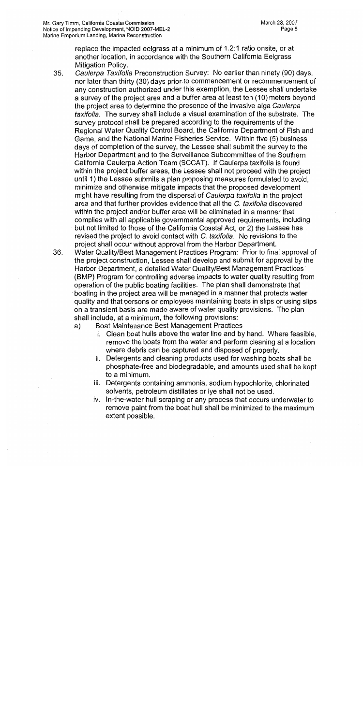replace the impacted eelgrass at a minimum of 1.2:1 ratio onsite, or at another location, in accordance with the Southern California Eelgrass Mitigation Policy.

- 35. Caulerpa Taxifolia Preconstruction Survey: No earlier than ninety (90) days. nor later than thirty (30) days prior to commencement or recommencement of any construction authorized under this exemption, the Lessee shall undertake a survey of the project area and a buffer area at least ten (10) meters beyond the project area to determine the presence of the invasive alga Caulerpa taxifolia. The survey shall include a visual examination of the substrate. The survey protocol shall be prepared according to the requirements of the Regional Water Quality Control Board, the California Department of Fish and Game, and the National Marine Fisheries Service. Within five (5) business days of completion of the survey, the Lessee shall submit the survey to the Harbor Department and to the Surveillance Subcommittee of the Southern California Caulerpa Action Team (SCCAT). If Caulerpa taxifolia is found within the project buffer areas, the Lessee shall not proceed with the project until 1) the Lessee submits a plan proposing measures formulated to avoid. minimize and otherwise mitigate impacts that the proposed development might have resulting from the dispersal of Caulerpa taxifolia in the project area and that further provides evidence that all the C, taxifolia discovered within the project and/or buffer area will be eliminated in a manner that complies with all applicable governmental approved requirements, including but not limited to those of the California Coastal Act, or 2) the Lessee has revised the project to avoid contact with C. taxifolia. No revisions to the project shall occur without approval from the Harbor Department.
- 36. Water Quality/Best Management Practices Program: Prior to final approval of the project construction, Lessee shall develop and submit for approval by the Harbor Department, a detailed Water Quality/Best Management Practices (BMP) Program for controlling adverse impacts to water quality resulting from operation of the public boating facilities. The plan shall demonstrate that boating in the project area will be managed in a manner that protects water quality and that persons or employees maintaining boats in slips or using slips on a transient basis are made aware of water quality provisions. The plan shall include, at a minimum, the following provisions:
	- Boat Maintenance Best Management Practices a)
		- i. Clean boat hulls above the water line and by hand. Where feasible. remove the boats from the water and perform cleaning at a location where debris can be captured and disposed of properly.
		- ii. Detergents and cleaning products used for washing boats shall be phosphate-free and biodegradable, and amounts used shall be kept to a minimum.
		- iii. Detergents containing ammonia, sodium hypochlorite, chlorinated solvents, petroleum distillates or lye shall not be used.
		- iv. In-the-water hull scraping or any process that occurs underwater to remove paint from the boat hull shall be minimized to the maximum extent possible.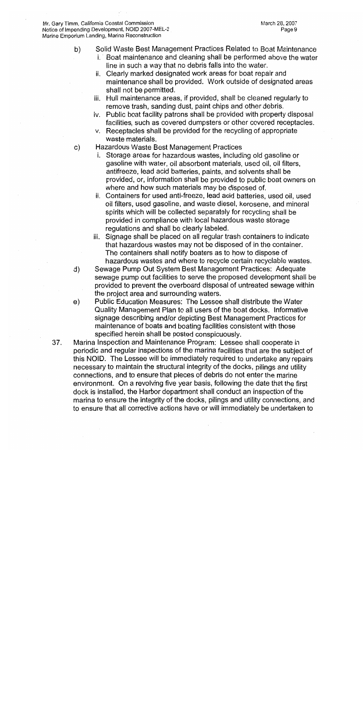Mr. Gary Timm, California Coastal Commission Notice of Impending Development, NOID 2007-MEL-2 Marine Emporium Landing, Marina Reconstruction

- Solid Waste Best Management Practices Related to Boat Maintenance b)
	- i. Boat maintenance and cleaning shall be performed above the water line in such a way that no debris falls into the water.
	- ii. Clearly marked designated work areas for boat repair and maintenance shall be provided. Work outside of designated areas shall not be permitted.
	- iii. Hull maintenance areas, if provided, shall be cleaned regularly to remove trash, sanding dust, paint chips and other debris.
	- iv. Public boat facility patrons shall be provided with property disposal facilities, such as covered dumpsters or other covered receptacles.
	- v. Receptacles shall be provided for the recycling of appropriate waste materials.
- Hazardous Waste Best Management Practices c)
	- Storage areas for hazardous wastes, including old gasoline or gasoline with water, oil absorbent materials, used oil, oil filters, antifreeze, lead acid batteries, paints, and solvents shall be provided, or, information shall be provided to public boat owners on where and how such materials may be disposed of.
	- ii. Containers for used anti-freeze, lead acid batteries, used oil, used oil filters, used gasoline, and waste diesel, kerosene, and mineral spirits which will be collected separately for recycling shall be provided in compliance with local hazardous waste storage regulations and shall be clearly labeled.
	- iii. Signage shall be placed on all regular trash containers to indicate that hazardous wastes may not be disposed of in the container. The containers shall notify boaters as to how to dispose of hazardous wastes and where to recycle certain recyclable wastes.
- Sewage Pump Out System Best Management Practices: Adequate d) sewage pump out facilities to serve the proposed development shall be provided to prevent the overboard disposal of untreated sewage within the project area and surrounding waters.
- Public Education Measures: The Lessee shall distribute the Water e) Quality Management Plan to all users of the boat docks. Informative signage describing and/or depicting Best Management Practices for maintenance of boats and boating facilities consistent with those specified herein shall be posted conspicuously.
- Marina Inspection and Maintenance Program: Lessee shall cooperate in 37. periodic and regular inspections of the marina facilities that are the subject of this NOID. The Lessee will be immediately required to undertake any repairs necessary to maintain the structural integrity of the docks, pilings and utility connections, and to ensure that pieces of debris do not enter the marine environment. On a revolving five year basis, following the date that the first dock is installed, the Harbor department shall conduct an inspection of the marina to ensure the integrity of the docks, pilings and utility connections, and to ensure that all corrective actions have or will immediately be undertaken to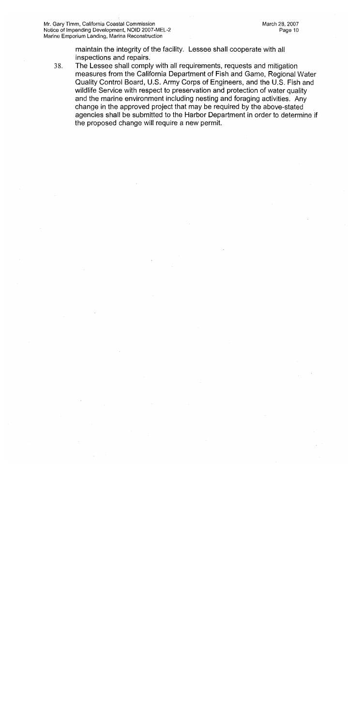maintain the integrity of the facility. Lessee shall cooperate with all inspections and repairs.

The Lessee shall comply with all requirements, requests and mitigation 38. measures from the California Department of Fish and Game, Regional Water Quality Control Board, U.S. Army Corps of Engineers, and the U.S. Fish and wildlife Service with respect to preservation and protection of water quality and the marine environment including nesting and foraging activities. Any change in the approved project that may be required by the above-stated agencies shall be submitted to the Harbor Department in order to determine if the proposed change will require a new permit.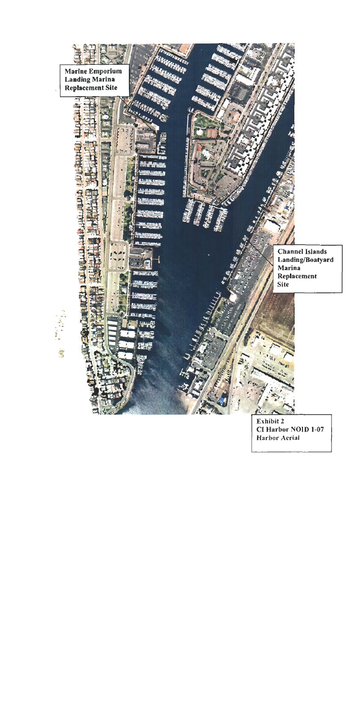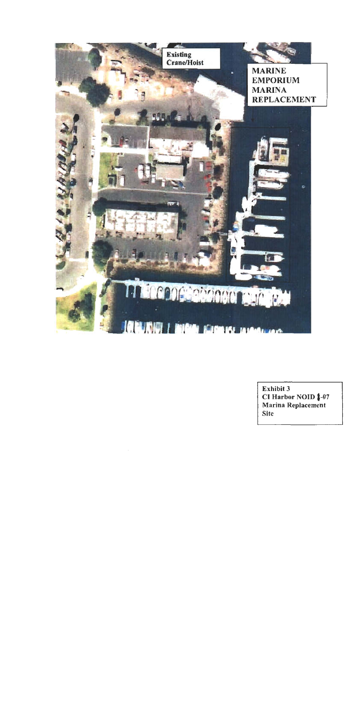

Exhibit 3 CI Harbor NOID 1-07 Marina Replacement **Site**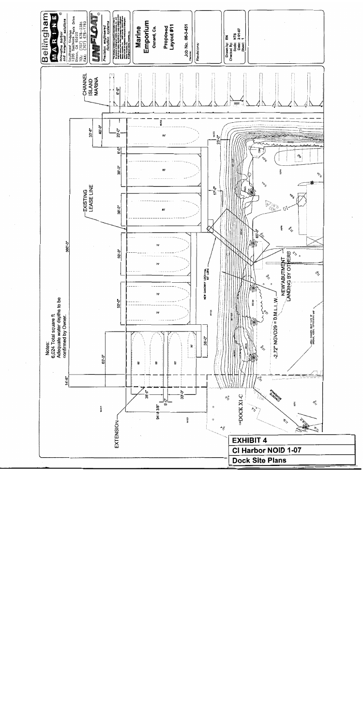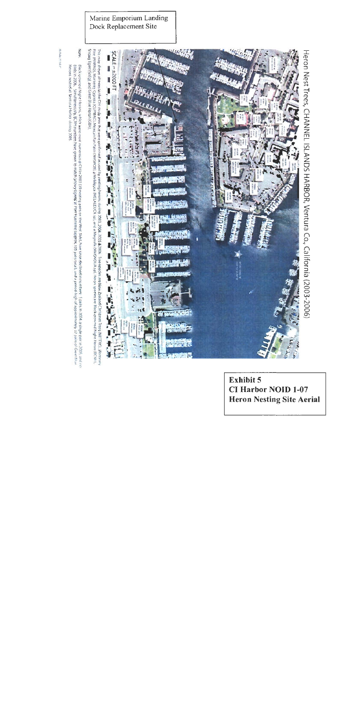

Exhibit 5 **CI Harbor NOID 1-07 Heron Nesting Site Aerial** 

Marine Emporium Landing

In dealer 20 hole of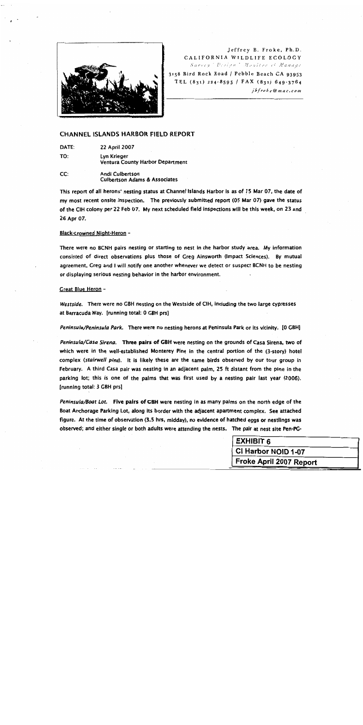

Jeffrey B. Froke, Ph.D. CALIFORNIA WILDLIFE ECOLOGY Survey Design Monitor et Manage

3158 Bird Rock Road / Pebble Beach CA 93953 TEL (831) 224-8595 / FAX (831) 649-3764 jbfroke@mac.com

#### **CHANNEL ISLANDS HARBOR FIELD REPORT**

DATE: **22 April 2007** TO: Lyn Krieger Ventura County Harbor Department

CC: Andi Culbertson **Culbertson Adams & Associates** 

This report of all herons' nesting status at Channel Islands Harbor is as of 15 Mar 07, the date of my most recent onsite inspection. The previously submitted report (05 Mar 07) gave the status of the CIH colony per 22 Feb 07. My next scheduled field inspections will be this week, on 23 and 26 Apr 07.

#### Black-crowned Night-Heron -

There were no BCNH pairs nesting or starting to nest in the harbor study area. My information consisted of direct observations plus those of Greg Ainsworth (Impact Sciences). By mutual agreement, Greg and I will notify one another whenever we detect or suspect BCNH to be nesting or displaying serious nesting behavior in the harbor environment.

#### Great Blue Heron -

Westside. There were no GBH nesting on the Westside of CIH, including the two large cypresses at Barracuda Way. [running total: 0 GBH prs]

Peninsula/Peninsula Park. There were no nesting herons at Peninsula Park or its vicinity. [O GBH]

Peninsula/Casa Sirena. Three pairs of GBH were nesting on the grounds of Casa Sirena, two of which were in the well-established Monterey Pine in the central portion of the (3-story) hotel complex (stairwell pine). It is likely these are the same birds observed by our tour group in February. A third Casa pair was nesting in an adjacent palm, 25 ft distant from the pine in the parking lot; this is one of the palms that was first used by a nesting pair last year (2006). [running total: 3 GBH prs]

Peninsula/Boat Lot. Five pairs of GBH were nesting in as many palms on the north edge of the Boat Anchorage Parking Lot, along its border with the adjacent apartment complex. See attached figure. At the time of observation (3.5 hrs, midday), no evidence of hatched eggs or nestlings was observed; and either single or both adults were attending the nests. The pair at nest site Pen-PG-

| <b>EXHIBIT 6</b>        |  |
|-------------------------|--|
| CI Harbor NOID 1-07     |  |
| Froke April 2007 Report |  |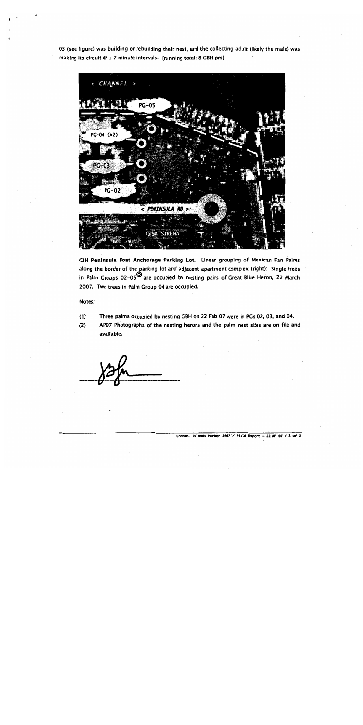03 (see figure) was building or rebuilding their nest, and the collecting adult (likely the male) was making its circuit  $\emptyset$  ± 7-minute intervals. [running total: 8 GBH prs]



CIH Peninsula Boat Anchorage Parking Lot. Linear grouping of Mexican Fan Palms along the border of the parking lot and adjacent apartment complex (right): Single trees in Palm Groups  $02-05^{\circ}$  are occupied by nesting pairs of Great Blue Heron, 22 March 2007. Two trees in Palm Group 04 are occupied.

#### Notes:

Three palms occupied by nesting GBH on 22 Feb 07 were in PGs 02, 03, and 04.  $(1)$ 

AP07 Photographs of the nesting herons and the palm nest sites are on file and  $(2)$ available.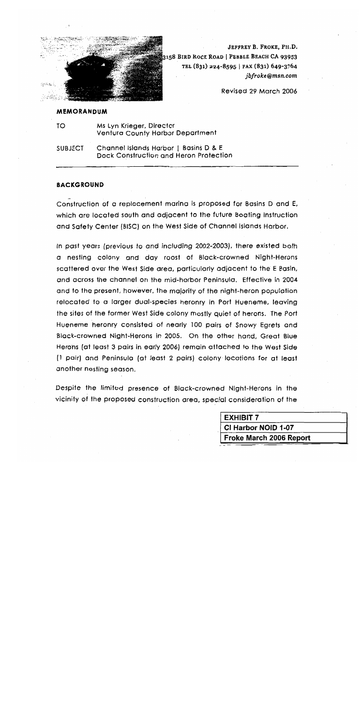

JEFFREY B. FROKE, PH.D. 3158 BIRD ROCK ROAD | PEBBLE BEACH CA 93953 TEL (831) 224-8595 | FAX (831) 649-3764 jbfroke@msn.com

Revised 29 March 2006

#### **MEMORANDUM**

TO Ms Lyn Krieger, Director Ventura County Harbor Department

Channel Islands Harbor | Basins D & E **SUBJECT** Dock Construction and Heron Protection

#### **BACKGROUND**

Construction of a replacement marina is proposed for Basins D and E, which are located south and adjacent to the future Boating Instruction and Safety Center (BISC) on the West Side of Channel Islands Harbor.

In past years (previous to and including 2002-2003), there existed both a nesting colony and day roost of Black-crowned Night-Herons scattered over the West Side area, particularly adjacent to the E Basin, and across the channel on the mid-harbor Peninsula. Effective in 2004 and to the present, however, the majority of the night-heron population relocated to a larger dual-species heronry in Port Hueneme, leaving the sites of the former West Side colony mostly quiet of herons. The Port Hueneme heronry consisted of nearly 100 pairs of Snowy Earets and Black-crowned Night-Herons in 2005. On the other hand, Great Blue Herons (at least 3 pairs in early 2006) remain attached to the West Side (1 pair) and Peninsula (at least 2 pairs) colony locations for at least another nesting season.

Despite the limited presence of Black-crowned Night-Herons in the vicinity of the proposed construction area, special consideration of the

| <b>EXHIBIT 7</b>        |  |
|-------------------------|--|
| CI Harbor NOID 1-07     |  |
| Froke March 2006 Report |  |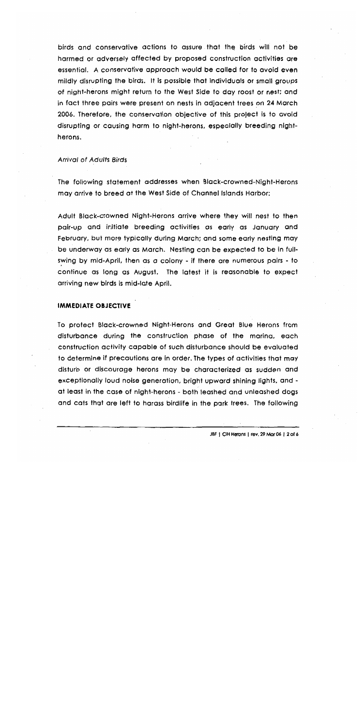birds and conservative actions to assure that the birds will not be harmed or adversely affected by proposed construction activities are essential. A conservative approach would be called for to avoid even mildly disrupting the birds. It is possible that individuals or small groups of night-herons might return to the West Side to day roost or nest; and in fact three pairs were present on nests in adjacent trees on 24 March 2006. Therefore, the conservation objective of this project is to avoid disrupting or causing harm to night-herons, especially breeding nightherons.

#### **Arrival of Adults Birds**

The following statement addresses when Black-crowned-Night-Herons may arrive to breed at the West Side of Channel Islands Harbor:

Adult Black-crowned Night-Herons arrive where they will nest to then pair-up and initiate breeding activities as early as January and February, but more typically during March; and some early nesting may be underway as early as March. Nesting can be expected to be in fullswing by mid-April, then as a colony - if there are numerous pairs - to continue as long as August. The latest it is reasonable to expect arriving new birds is mid-late April.

#### **IMMEDIATE OBJECTIVE**

To protect Black-crowned Night-Herons and Great Blue Herons from disturbance during the construction phase of the marina, each construction activity capable of such disturbance should be evaluated to determine if precautions are in order. The types of activities that may disturb or discourage herons may be characterized as sudden and exceptionally loud noise generation, bright upward shining lights, and at least in the case of night-herons - both leashed and unleashed dogs and cats that are left to harass birdlife in the park trees. The following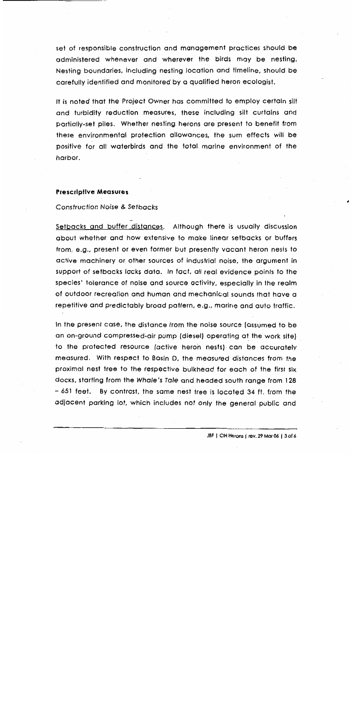set of responsible construction and management practices should be administered whenever and wherever the birds may be nesting. Nesting boundaries, including nesting location and timeline, should be carefully identified and monitored by a qualified heron ecologist.

It is noted that the Project Owner has committed to employ certain silt and turbidity reduction measures, these including silt curtains and partially-set piles. Whether nesting herons are present to benefit from these environmental protection allowances, the sum effects will be positive for all waterbirds and the total marine environment of the harbor.

#### **Prescriptive Measures**

#### **Construction Noise & Setbacks**

Setbacks and buffer distances. Although there is usually discussion about whether and how extensive to make linear setbacks or buffers from, e.g., present or even former but presently vacant heron nests to active machinery or other sources of industrial noise, the argument in support of setbacks lacks data. In fact, all real evidence points to the species' folerance of noise and source activity, especially in the realm of outdoor recreation and human and mechanical sounds that have a repetitive and predictably broad pattern, e.g., marine and auto traffic.

In the present case, the distance from the noise source (assumed to be an on-ground compressed-air pump (diesel) operating at the work site) to the protected resource (active heron nests) can be accurately measured. With respect to Basin D, the measured distances from the proximal nest tree to the respective bulkhead for each of the first six docks, starting from the Whale's Tale and headed south range from 128 – 651 feet. By contrast, the same nest tree is located 34 ft. from the adjacent parking lot, which includes not only the general public and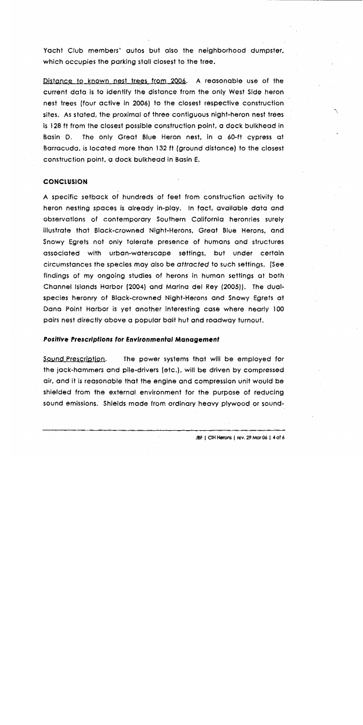Yacht Club members' autos but also the neighborhood dumpster, which occupies the parking stall closest to the tree.

Distance to known nest trees from 2006. A reasonable use of the current data is to identify the distance from the only West Side heron nest trees (four active in 2006) to the closest respective construction sites. As stated, the proximal of three contiguous night-heron nest trees is 128 ft from the closest possible construction point, a dock bulkhead in The only Great Blue Heron nest, in a 60-ft cypress at Basin D. Barracuda, is located more than 132 ft (ground distance) to the closest construction point, a dock bulkhead in Basin E.

#### **CONCLUSION**

A specific setback of hundreds of feet from construction activity to heron nesting spaces is already in-play. In fact, available data and observations of contemporary Southern California heronries surely illustrate that Black-crowned Night-Herons, Great Blue Herons, and Snowy Egrets not only tolerate presence of humans and structures associated with urban-waterscape settings, but under certain circumstances the species may also be attracted to such settings. (See findings of my ongoing studies of herons in human settings at both  $\cdot$ Channel Islands Harbor (2004) and Marina del Rey (2005)). The dualspecies heronry of Black-crowned Night-Herons and Snowy Egrets at Dana Point Harbor is yet another interesting case where nearly 100 pairs nest directly above a popular bait hut and roadway turnout.

#### **Positive Prescriptions for Environmental Management**

<u>Sound Prescription.</u> The power systems that will be employed for the jack-hammers and pile-drivers (etc.), will be driven by compressed air, and it is reasonable that the engine and compression unit would be shielded from the external environment for the purpose of reducing sound emissions. Shields made from ordinary heavy plywood or sound٠,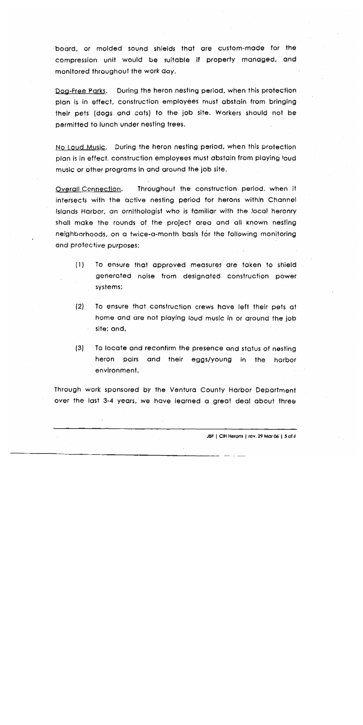board, or molded sound shields that are custom-made for the compression unit would be suitable if property managed, and monitored throughout the work day.

During the heron nesting period, when this protection Doa-Free Parks. plan is in effect, construction employees must abstain from bringing their pets (dogs and cats) to the job site. Workers should not be permitted to lunch under nesting trees.

No Loud Music. During the heron nesting period, when this protection plan is in effect, construction employees must abstain from playing loud music or other programs in and around the job site.

Overall Connection. Throughout the construction period, when it intersects with the active nesting period for herons within Channel Islands Harbor, an ornithologist who is familiar with the local heronry shall make the rounds of the project area and all known nesting neighborhoods, on a twice-a-month basis for the following monitoring and protective purposes:

- $(1)$ To ensure that approved measures are taken to shield generated noise from designated construction power systems;
- $(2)$ To ensure that construction crews have left their pets at home and are not playing loud music in or around the job site; and,
- $(3)$ To locate and reconfirm the presence and status of nesting heron pairs and their eggs/young in the harbor environment.

Through work sponsored by the Ventura County Harbor Department over the last 3-4 years, we have learned a great deal about three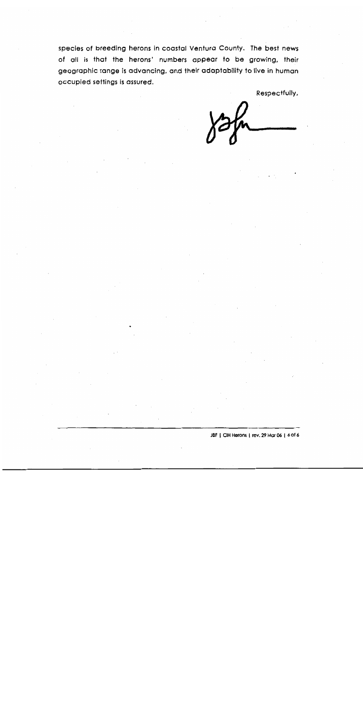species of breeding herons in coastal Ventura County. The best news of all is that the herons' numbers appear to be growing, their geographic range is advancing, and their adaptability to live in human occupied settings is assured.

Respectfully,